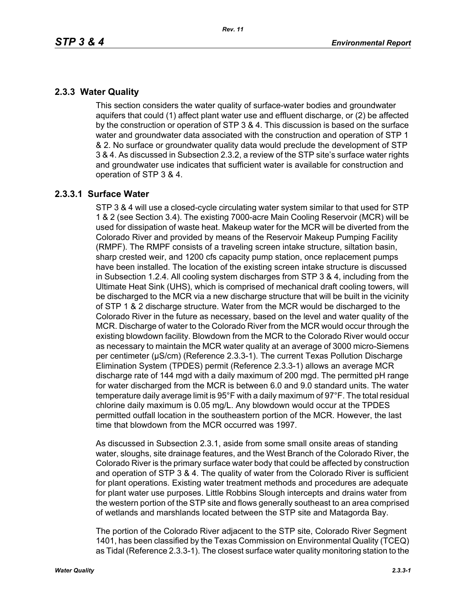# **2.3.3 Water Quality**

This section considers the water quality of surface-water bodies and groundwater aquifers that could (1) affect plant water use and effluent discharge, or (2) be affected by the construction or operation of STP 3 & 4. This discussion is based on the surface water and groundwater data associated with the construction and operation of STP 1 & 2. No surface or groundwater quality data would preclude the development of STP 3 & 4. As discussed in Subsection 2.3.2, a review of the STP site's surface water rights and groundwater use indicates that sufficient water is available for construction and operation of STP 3 & 4.

## **2.3.3.1 Surface Water**

STP 3 & 4 will use a closed-cycle circulating water system similar to that used for STP 1 & 2 (see Section 3.4). The existing 7000-acre Main Cooling Reservoir (MCR) will be used for dissipation of waste heat. Makeup water for the MCR will be diverted from the Colorado River and provided by means of the Reservoir Makeup Pumping Facility (RMPF). The RMPF consists of a traveling screen intake structure, siltation basin, sharp crested weir, and 1200 cfs capacity pump station, once replacement pumps have been installed. The location of the existing screen intake structure is discussed in Subsection 1.2.4. All cooling system discharges from STP 3 & 4, including from the Ultimate Heat Sink (UHS), which is comprised of mechanical draft cooling towers, will be discharged to the MCR via a new discharge structure that will be built in the vicinity of STP 1 & 2 discharge structure. Water from the MCR would be discharged to the Colorado River in the future as necessary, based on the level and water quality of the MCR. Discharge of water to the Colorado River from the MCR would occur through the existing blowdown facility. Blowdown from the MCR to the Colorado River would occur as necessary to maintain the MCR water quality at an average of 3000 micro-Siemens per centimeter (µS/cm) (Reference 2.3.3-1). The current Texas Pollution Discharge Elimination System (TPDES) permit (Reference 2.3.3-1) allows an average MCR discharge rate of 144 mgd with a daily maximum of 200 mgd. The permitted pH range for water discharged from the MCR is between 6.0 and 9.0 standard units. The water temperature daily average limit is 95°F with a daily maximum of 97°F. The total residual chlorine daily maximum is 0.05 mg/L. Any blowdown would occur at the TPDES permitted outfall location in the southeastern portion of the MCR. However, the last time that blowdown from the MCR occurred was 1997.

As discussed in Subsection 2.3.1, aside from some small onsite areas of standing water, sloughs, site drainage features, and the West Branch of the Colorado River, the Colorado River is the primary surface water body that could be affected by construction and operation of STP 3 & 4. The quality of water from the Colorado River is sufficient for plant operations. Existing water treatment methods and procedures are adequate for plant water use purposes. Little Robbins Slough intercepts and drains water from the western portion of the STP site and flows generally southeast to an area comprised of wetlands and marshlands located between the STP site and Matagorda Bay.

The portion of the Colorado River adjacent to the STP site, Colorado River Segment 1401, has been classified by the Texas Commission on Environmental Quality (TCEQ) as Tidal (Reference 2.3.3-1). The closest surface water quality monitoring station to the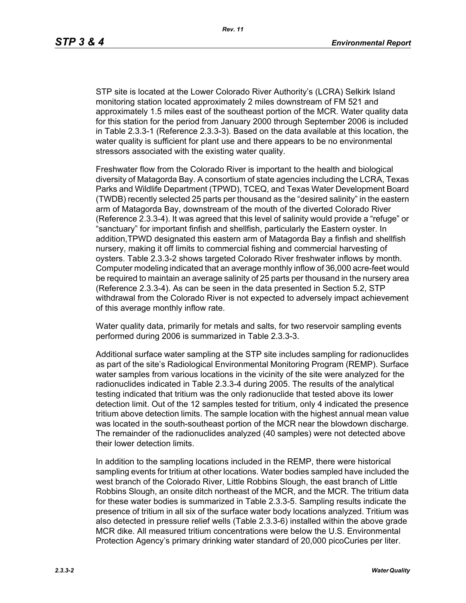STP site is located at the Lower Colorado River Authority's (LCRA) Selkirk Island monitoring station located approximately 2 miles downstream of FM 521 and approximately 1.5 miles east of the southeast portion of the MCR. Water quality data for this station for the period from January 2000 through September 2006 is included in Table 2.3.3-1 (Reference 2.3.3-3). Based on the data available at this location, the water quality is sufficient for plant use and there appears to be no environmental stressors associated with the existing water quality.

Freshwater flow from the Colorado River is important to the health and biological diversity of Matagorda Bay. A consortium of state agencies including the LCRA, Texas Parks and Wildlife Department (TPWD), TCEQ, and Texas Water Development Board (TWDB) recently selected 25 parts per thousand as the "desired salinity" in the eastern arm of Matagorda Bay, downstream of the mouth of the diverted Colorado River (Reference 2.3.3-4). It was agreed that this level of salinity would provide a "refuge" or "sanctuary" for important finfish and shellfish, particularly the Eastern oyster. In addition,TPWD designated this eastern arm of Matagorda Bay a finfish and shellfish nursery, making it off limits to commercial fishing and commercial harvesting of oysters. Table 2.3.3-2 shows targeted Colorado River freshwater inflows by month. Computer modeling indicated that an average monthly inflow of 36,000 acre-feet would be required to maintain an average salinity of 25 parts per thousand in the nursery area (Reference 2.3.3-4). As can be seen in the data presented in Section 5.2, STP withdrawal from the Colorado River is not expected to adversely impact achievement of this average monthly inflow rate.

Water quality data, primarily for metals and salts, for two reservoir sampling events performed during 2006 is summarized in Table 2.3.3-3.

Additional surface water sampling at the STP site includes sampling for radionuclides as part of the site's Radiological Environmental Monitoring Program (REMP). Surface water samples from various locations in the vicinity of the site were analyzed for the radionuclides indicated in Table 2.3.3-4 during 2005. The results of the analytical testing indicated that tritium was the only radionuclide that tested above its lower detection limit. Out of the 12 samples tested for tritium, only 4 indicated the presence tritium above detection limits. The sample location with the highest annual mean value was located in the south-southeast portion of the MCR near the blowdown discharge. The remainder of the radionuclides analyzed (40 samples) were not detected above their lower detection limits.

In addition to the sampling locations included in the REMP, there were historical sampling events for tritium at other locations. Water bodies sampled have included the west branch of the Colorado River, Little Robbins Slough, the east branch of Little Robbins Slough, an onsite ditch northeast of the MCR, and the MCR. The tritium data for these water bodies is summarized in Table 2.3.3-5. Sampling results indicate the presence of tritium in all six of the surface water body locations analyzed. Tritium was also detected in pressure relief wells (Table 2.3.3-6) installed within the above grade MCR dike. All measured tritium concentrations were below the U.S. Environmental Protection Agency's primary drinking water standard of 20,000 picoCuries per liter.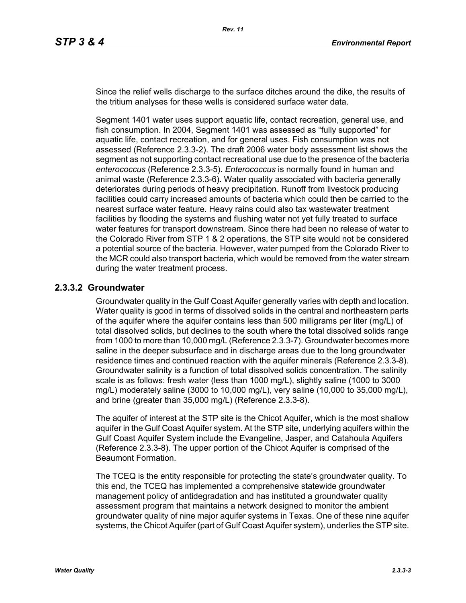Since the relief wells discharge to the surface ditches around the dike, the results of the tritium analyses for these wells is considered surface water data.

Segment 1401 water uses support aquatic life, contact recreation, general use, and fish consumption. In 2004, Segment 1401 was assessed as "fully supported" for aquatic life, contact recreation, and for general uses. Fish consumption was not assessed (Reference 2.3.3-2). The draft 2006 water body assessment list shows the segment as not supporting contact recreational use due to the presence of the bacteria *enterococcus* (Reference 2.3.3-5). *Enterococcus* is normally found in human and animal waste (Reference 2.3.3-6). Water quality associated with bacteria generally deteriorates during periods of heavy precipitation. Runoff from livestock producing facilities could carry increased amounts of bacteria which could then be carried to the nearest surface water feature. Heavy rains could also tax wastewater treatment facilities by flooding the systems and flushing water not yet fully treated to surface water features for transport downstream. Since there had been no release of water to the Colorado River from STP 1 & 2 operations, the STP site would not be considered a potential source of the bacteria. However, water pumped from the Colorado River to the MCR could also transport bacteria, which would be removed from the water stream during the water treatment process.

## **2.3.3.2 Groundwater**

Groundwater quality in the Gulf Coast Aquifer generally varies with depth and location. Water quality is good in terms of dissolved solids in the central and northeastern parts of the aquifer where the aquifer contains less than 500 milligrams per liter (mg/L) of total dissolved solids, but declines to the south where the total dissolved solids range from 1000 to more than 10,000 mg/L (Reference 2.3.3-7). Groundwater becomes more saline in the deeper subsurface and in discharge areas due to the long groundwater residence times and continued reaction with the aquifer minerals (Reference 2.3.3-8). Groundwater salinity is a function of total dissolved solids concentration. The salinity scale is as follows: fresh water (less than 1000 mg/L), slightly saline (1000 to 3000 mg/L) moderately saline (3000 to 10,000 mg/L), very saline (10,000 to 35,000 mg/L), and brine (greater than 35,000 mg/L) (Reference 2.3.3-8).

The aquifer of interest at the STP site is the Chicot Aquifer, which is the most shallow aquifer in the Gulf Coast Aquifer system. At the STP site, underlying aquifers within the Gulf Coast Aquifer System include the Evangeline, Jasper, and Catahoula Aquifers (Reference 2.3.3-8). The upper portion of the Chicot Aquifer is comprised of the Beaumont Formation.

The TCEQ is the entity responsible for protecting the state's groundwater quality. To this end, the TCEQ has implemented a comprehensive statewide groundwater management policy of antidegradation and has instituted a groundwater quality assessment program that maintains a network designed to monitor the ambient groundwater quality of nine major aquifer systems in Texas. One of these nine aquifer systems, the Chicot Aquifer (part of Gulf Coast Aquifer system), underlies the STP site.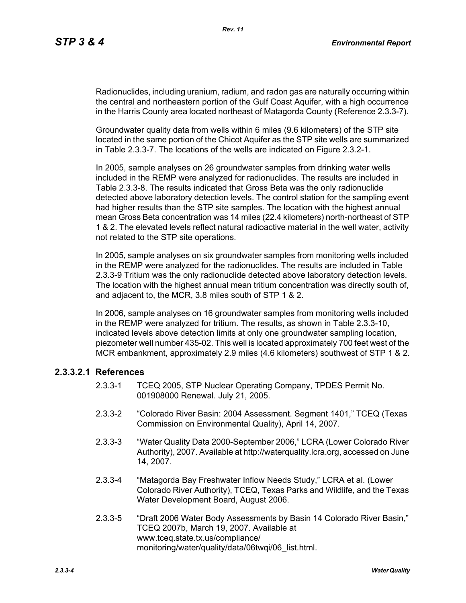Radionuclides, including uranium, radium, and radon gas are naturally occurring within the central and northeastern portion of the Gulf Coast Aquifer, with a high occurrence in the Harris County area located northeast of Matagorda County (Reference 2.3.3-7).

Groundwater quality data from wells within 6 miles (9.6 kilometers) of the STP site located in the same portion of the Chicot Aquifer as the STP site wells are summarized in Table 2.3.3-7. The locations of the wells are indicated on Figure 2.3.2-1.

In 2005, sample analyses on 26 groundwater samples from drinking water wells included in the REMP were analyzed for radionuclides. The results are included in Table 2.3.3-8. The results indicated that Gross Beta was the only radionuclide detected above laboratory detection levels. The control station for the sampling event had higher results than the STP site samples. The location with the highest annual mean Gross Beta concentration was 14 miles (22.4 kilometers) north-northeast of STP 1 & 2. The elevated levels reflect natural radioactive material in the well water, activity not related to the STP site operations.

In 2005, sample analyses on six groundwater samples from monitoring wells included in the REMP were analyzed for the radionuclides. The results are included in Table 2.3.3-9 Tritium was the only radionuclide detected above laboratory detection levels. The location with the highest annual mean tritium concentration was directly south of, and adjacent to, the MCR, 3.8 miles south of STP 1 & 2.

In 2006, sample analyses on 16 groundwater samples from monitoring wells included in the REMP were analyzed for tritium. The results, as shown in Table 2.3.3-10, indicated levels above detection limits at only one groundwater sampling location, piezometer well number 435-02. This well is located approximately 700 feet west of the MCR embankment, approximately 2.9 miles (4.6 kilometers) southwest of STP 1 & 2.

#### **2.3.3.2.1 References**

- 2.3.3-1 TCEQ 2005, STP Nuclear Operating Company, TPDES Permit No. 001908000 Renewal. July 21, 2005.
- 2.3.3-2 "Colorado River Basin: 2004 Assessment. Segment 1401," TCEQ (Texas Commission on Environmental Quality), April 14, 2007.
- 2.3.3-3 "Water Quality Data 2000-September 2006," LCRA (Lower Colorado River Authority), 2007. Available at http://waterquality.lcra.org, accessed on June 14, 2007.
- 2.3.3-4 "Matagorda Bay Freshwater Inflow Needs Study," LCRA et al. (Lower Colorado River Authority), TCEQ, Texas Parks and Wildlife, and the Texas Water Development Board, August 2006.
- 2.3.3-5 "Draft 2006 Water Body Assessments by Basin 14 Colorado River Basin," TCEQ 2007b, March 19, 2007. Available at www.tceq.state.tx.us/compliance/ monitoring/water/quality/data/06twqi/06\_list.html.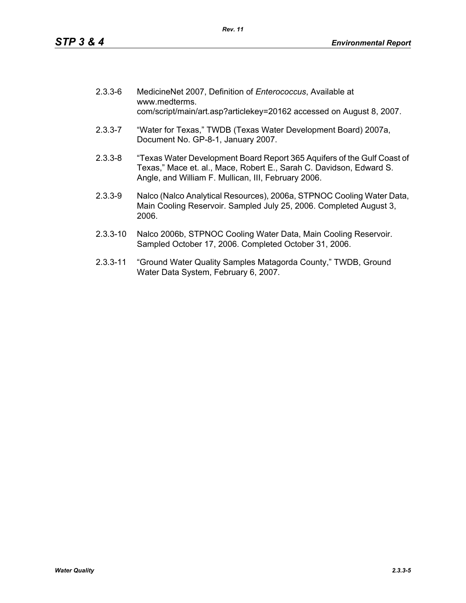| $2.3.3 - 6$ | MedicineNet 2007, Definition of Enterococcus, Available at<br>www.medterms.<br>com/script/main/art.asp?articlekey=20162 accessed on August 8, 2007. |
|-------------|-----------------------------------------------------------------------------------------------------------------------------------------------------|
| $2.3.3 - 7$ | "Water for Texas," TWDB (Texas Water Development Board) 2007a,<br>Document No. GP-8-1, January 2007.                                                |

- 2.3.3-8 "Texas Water Development Board Report 365 Aquifers of the Gulf Coast of Texas," Mace et. al., Mace, Robert E., Sarah C. Davidson, Edward S. Angle, and William F. Mullican, III, February 2006.
- 2.3.3-9 Nalco (Nalco Analytical Resources), 2006a, STPNOC Cooling Water Data, Main Cooling Reservoir. Sampled July 25, 2006. Completed August 3, 2006.
- 2.3.3-10 Nalco 2006b, STPNOC Cooling Water Data, Main Cooling Reservoir. Sampled October 17, 2006. Completed October 31, 2006.
- 2.3.3-11 "Ground Water Quality Samples Matagorda County," TWDB, Ground Water Data System, February 6, 2007.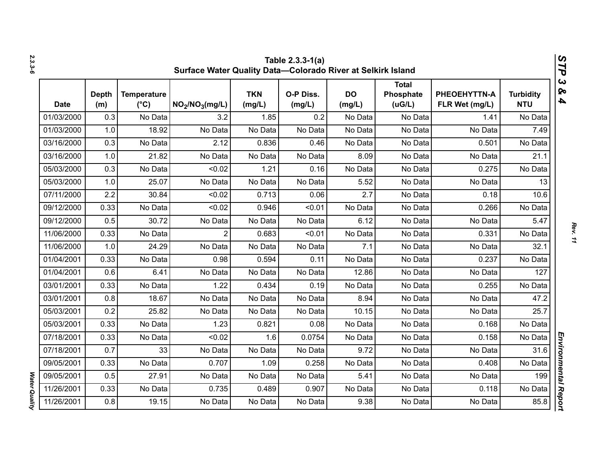|             | Table 2.3.3-1(a)<br>V,<br>Surface Water Quality Data-Colorado River at Selkirk Island<br>٦ |                                     |                                         |                      |                     |                     |                                     |                                |                                |  |  |
|-------------|--------------------------------------------------------------------------------------------|-------------------------------------|-----------------------------------------|----------------------|---------------------|---------------------|-------------------------------------|--------------------------------|--------------------------------|--|--|
| <b>Date</b> | <b>Depth</b><br>(m)                                                                        | <b>Temperature</b><br>$(^{\circ}C)$ | NO <sub>2</sub> /NO <sub>3</sub> (mg/L) | <b>TKN</b><br>(mg/L) | O-P Diss.<br>(mg/L) | <b>DO</b><br>(mg/L) | <b>Total</b><br>Phosphate<br>(UG/L) | PHEOEHYTTN-A<br>FLR Wet (mg/L) | <b>Turbidity</b><br><b>NTU</b> |  |  |
| 01/03/2000  | 0.3                                                                                        | No Data                             | 3.2                                     | 1.85                 | 0.2                 | No Data             | No Data                             | 1.41                           | No Data                        |  |  |
| 01/03/2000  | 1.0                                                                                        | 18.92                               | No Data                                 | No Data              | No Data             | No Data             | No Data                             | No Data                        | 7.49                           |  |  |
| 03/16/2000  | 0.3                                                                                        | No Data                             | 2.12                                    | 0.836                | 0.46                | No Data             | No Data                             | 0.501                          | No Data                        |  |  |
| 03/16/2000  | 1.0                                                                                        | 21.82                               | No Data                                 | No Data              | No Data             | 8.09                | No Data                             | No Data                        | 21.1                           |  |  |
| 05/03/2000  | 0.3                                                                                        | No Data                             | < 0.02                                  | 1.21                 | 0.16                | No Data             | No Data                             | 0.275                          | No Data                        |  |  |
| 05/03/2000  | 1.0                                                                                        | 25.07                               | No Data                                 | No Data              | No Data             | 5.52                | No Data                             | No Data                        | 13                             |  |  |
| 07/11/2000  | 2.2                                                                                        | 30.84                               | < 0.02                                  | 0.713                | 0.06                | 2.7                 | No Data                             | 0.18                           | 10.6                           |  |  |
| 09/12/2000  | 0.33                                                                                       | No Data                             | < 0.02                                  | 0.946                | < 0.01              | No Data             | No Data                             | 0.266                          | No Data                        |  |  |
| 09/12/2000  | 0.5                                                                                        | 30.72                               | No Data                                 | No Data              | No Data             | 6.12                | No Data                             | No Data                        | 5.47                           |  |  |
| 11/06/2000  | 0.33                                                                                       | No Data                             | $\overline{2}$                          | 0.683                | < 0.01              | No Data             | No Data                             | 0.331                          | No Data                        |  |  |
| 11/06/2000  | 1.0                                                                                        | 24.29                               | No Data                                 | No Data              | No Data             | 7.1                 | No Data                             | No Data                        | 32.1                           |  |  |
| 01/04/2001  | 0.33                                                                                       | No Data                             | 0.98                                    | 0.594                | 0.11                | No Data             | No Data                             | 0.237                          | No Data                        |  |  |
| 01/04/2001  | 0.6                                                                                        | 6.41                                | No Data                                 | No Data              | No Data             | 12.86               | No Data                             | No Data                        | 127                            |  |  |
| 03/01/2001  | 0.33                                                                                       | No Data                             | 1.22                                    | 0.434                | 0.19                | No Data             | No Data                             | 0.255                          | No Data                        |  |  |
| 03/01/2001  | 0.8                                                                                        | 18.67                               | No Data                                 | No Data              | No Data             | 8.94                | No Data                             | No Data                        | 47.2                           |  |  |
| 05/03/2001  | 0.2                                                                                        | 25.82                               | No Data                                 | No Data              | No Data             | 10.15               | No Data                             | No Data                        | 25.7                           |  |  |
| 05/03/2001  | 0.33                                                                                       | No Data                             | 1.23                                    | 0.821                | 0.08                | No Data             | No Data                             | 0.168                          | No Data                        |  |  |
| 07/18/2001  | 0.33                                                                                       | No Data                             | < 0.02                                  | 1.6                  | 0.0754              | No Data             | No Data                             | 0.158                          | No Data                        |  |  |
| 07/18/2001  | 0.7                                                                                        | 33                                  | No Data                                 | No Data              | No Data             | 9.72                | No Data                             | No Data                        | 31.6                           |  |  |
| 09/05/2001  | 0.33                                                                                       | No Data                             | 0.707                                   | 1.09                 | 0.258               | No Data             | No Data                             | 0.408                          | No Data                        |  |  |
| 09/05/2001  | 0.5                                                                                        | 27.91                               | No Data                                 | No Data              | No Data             | 5.41                | No Data                             | No Data                        | 199                            |  |  |
| 11/26/2001  | 0.33                                                                                       | No Data                             | 0.735                                   | 0.489                | 0.907               | No Data             | No Data                             | 0.118                          | No Data                        |  |  |
| 11/26/2001  | 0.8                                                                                        | 19.15                               | No Data                                 | No Data              | No Data             | 9.38                | No Data                             | No Data                        | 85.8                           |  |  |

*2.3.3-6*

*Rev. 11*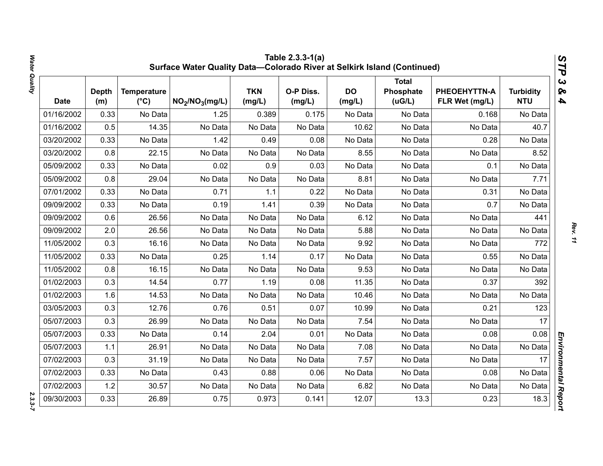|             |                     |                                     | Surface Water Quality Data-Colorado River at Selkirk Island (Continued) |                      | Table 2.3.3-1(a)    |                     |                                     |                                |                                | STP                                              |
|-------------|---------------------|-------------------------------------|-------------------------------------------------------------------------|----------------------|---------------------|---------------------|-------------------------------------|--------------------------------|--------------------------------|--------------------------------------------------|
| <b>Date</b> | <b>Depth</b><br>(m) | <b>Temperature</b><br>$(^{\circ}C)$ | NO <sub>2</sub> /NO <sub>3</sub> (mg/L)                                 | <b>TKN</b><br>(mg/L) | O-P Diss.<br>(mg/L) | <b>DO</b><br>(mg/L) | <b>Total</b><br>Phosphate<br>(uG/L) | PHEOEHYTTN-A<br>FLR Wet (mg/L) | <b>Turbidity</b><br><b>NTU</b> | $\boldsymbol{\omega}$<br>ନ୍ତ<br>$\blacktriangle$ |
| 01/16/2002  | 0.33                | No Data                             | 1.25                                                                    | 0.389                | 0.175               | No Data             | No Data                             | 0.168                          | No Data                        |                                                  |
| 01/16/2002  | 0.5                 | 14.35                               | No Data                                                                 | No Data              | No Data             | 10.62               | No Data                             | No Data                        | 40.7                           |                                                  |
| 03/20/2002  | 0.33                | No Data                             | 1.42                                                                    | 0.49                 | 0.08                | No Data             | No Data                             | 0.28                           | No Data                        |                                                  |
| 03/20/2002  | 0.8                 | 22.15                               | No Data                                                                 | No Data              | No Data             | 8.55                | No Data                             | No Data                        | 8.52                           |                                                  |
| 05/09/2002  | 0.33                | No Data                             | 0.02                                                                    | 0.9                  | 0.03                | No Data             | No Data                             | 0.1                            | No Data                        |                                                  |
| 05/09/2002  | 0.8                 | 29.04                               | No Data                                                                 | No Data              | No Data             | 8.81                | No Data                             | No Data                        | 7.71                           |                                                  |
| 07/01/2002  | 0.33                | No Data                             | 0.71                                                                    | 1.1                  | 0.22                | No Data             | No Data                             | 0.31                           | No Data                        |                                                  |
| 09/09/2002  | 0.33                | No Data                             | 0.19                                                                    | 1.41                 | 0.39                | No Data             | No Data                             | 0.7                            | No Data                        |                                                  |
| 09/09/2002  | 0.6                 | 26.56                               | No Data                                                                 | No Data              | No Data             | 6.12                | No Data                             | No Data                        | 441                            |                                                  |
| 09/09/2002  | 2.0                 | 26.56                               | No Data                                                                 | No Data              | No Data             | 5.88                | No Data                             | No Data                        | No Data                        |                                                  |
| 11/05/2002  | 0.3                 | 16.16                               | No Data                                                                 | No Data              | No Data             | 9.92                | No Data                             | No Data                        | 772                            |                                                  |
| 11/05/2002  | 0.33                | No Data                             | 0.25                                                                    | 1.14                 | 0.17                | No Data             | No Data                             | 0.55                           | No Data                        |                                                  |
| 11/05/2002  | 0.8                 | 16.15                               | No Data                                                                 | No Data              | No Data             | 9.53                | No Data                             | No Data                        | No Data                        |                                                  |
| 01/02/2003  | 0.3                 | 14.54                               | 0.77                                                                    | 1.19                 | 0.08                | 11.35               | No Data                             | 0.37                           | 392                            |                                                  |
| 01/02/2003  | 1.6                 | 14.53                               | No Data                                                                 | No Data              | No Data             | 10.46               | No Data                             | No Data                        | No Data                        |                                                  |
| 03/05/2003  | 0.3                 | 12.76                               | 0.76                                                                    | 0.51                 | 0.07                | 10.99               | No Data                             | 0.21                           | 123                            |                                                  |
| 05/07/2003  | 0.3                 | 26.99                               | No Data                                                                 | No Data              | No Data             | 7.54                | No Data                             | No Data                        | 17                             |                                                  |
| 05/07/2003  | 0.33                | No Data                             | 0.14                                                                    | 2.04                 | 0.01                | No Data             | No Data                             | 0.08                           | 0.08                           |                                                  |
| 05/07/2003  | 1.1                 | 26.91                               | No Data                                                                 | No Data              | No Data             | 7.08                | No Data                             | No Data                        | No Data                        |                                                  |
| 07/02/2003  | 0.3                 | 31.19                               | No Data                                                                 | No Data              | No Data             | 7.57                | No Data                             | No Data                        | 17                             |                                                  |
| 07/02/2003  | 0.33                | No Data                             | 0.43                                                                    | 0.88                 | 0.06                | No Data             | No Data                             | 0.08                           | No Data                        |                                                  |
| 07/02/2003  | 1.2                 | 30.57                               | No Data                                                                 | No Data              | No Data             | 6.82                | No Data                             | No Data                        | No Data                        |                                                  |
| 09/30/2003  | 0.33                | 26.89                               | 0.75                                                                    | 0.973                | 0.141               | 12.07               | 13.3                                | 0.23                           | 18.3                           | Environmental Report                             |

*Water Quality 2.3.3-7*  $2.3.3 - 7$ 

Water Quality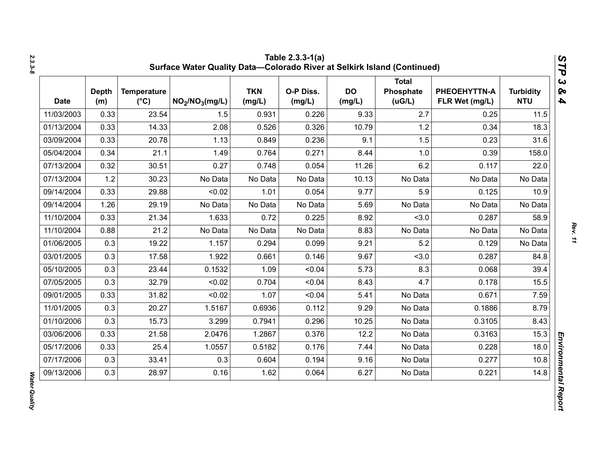| <b>Date</b> | <b>Depth</b><br>(m) | <b>Temperature</b><br>$(^{\circ}C)$ | NO <sub>2</sub> /NO <sub>3</sub> (mg/L) | <b>TKN</b><br>(mg/L) | O-P Diss.<br>(mg/L) | <b>DO</b><br>(mg/L) | <b>Total</b><br>Phosphate<br>(UG/L) | PHEOEHYTTN-A<br>FLR Wet (mg/L) | <b>Turbidity</b><br><b>NTU</b> |
|-------------|---------------------|-------------------------------------|-----------------------------------------|----------------------|---------------------|---------------------|-------------------------------------|--------------------------------|--------------------------------|
| 11/03/2003  | 0.33                | 23.54                               | 1.5                                     | 0.931                | 0.226               | 9.33                | 2.7                                 | 0.25                           | 11.5                           |
| 01/13/2004  | 0.33                | 14.33                               | 2.08                                    | 0.526                | 0.326               | 10.79               | 1.2                                 | 0.34                           | 18.3                           |
| 03/09/2004  | 0.33                | 20.78                               | 1.13                                    | 0.849                | 0.236               | 9.1                 | 1.5                                 | 0.23                           | 31.6                           |
| 05/04/2004  | 0.34                | 21.1                                | 1.49                                    | 0.764                | 0.271               | 8.44                | 1.0                                 | 0.39                           | 158.0                          |
| 07/13/2004  | 0.32                | 30.51                               | 0.27                                    | 0.748                | 0.054               | 11.26               | 6.2                                 | 0.117                          | 22.0                           |
| 07/13/2004  | 1.2                 | 30.23                               | No Data                                 | No Data              | No Data             | 10.13               | No Data                             | No Data                        | No Data                        |
| 09/14/2004  | 0.33                | 29.88                               | < 0.02                                  | 1.01                 | 0.054               | 9.77                | 5.9                                 | 0.125                          | 10.9                           |
| 09/14/2004  | 1.26                | 29.19                               | No Data                                 | No Data              | No Data             | 5.69                | No Data                             | No Data                        | No Data                        |
| 11/10/2004  | 0.33                | 21.34                               | 1.633                                   | 0.72                 | 0.225               | 8.92                | < 3.0                               | 0.287                          | 58.9                           |
| 11/10/2004  | 0.88                | 21.2                                | No Data                                 | No Data              | No Data             | 8.83                | No Data                             | No Data                        | No Data                        |
| 01/06/2005  | 0.3                 | 19.22                               | 1.157                                   | 0.294                | 0.099               | 9.21                | 5.2                                 | 0.129                          | No Data                        |
| 03/01/2005  | 0.3                 | 17.58                               | 1.922                                   | 0.661                | 0.146               | 9.67                | < 3.0                               | 0.287                          | 84.8                           |
| 05/10/2005  | 0.3                 | 23.44                               | 0.1532                                  | 1.09                 | < 0.04              | 5.73                | 8.3                                 | 0.068                          | 39.4                           |
| 07/05/2005  | 0.3                 | 32.79                               | < 0.02                                  | 0.704                | < 0.04              | 8.43                | 4.7                                 | 0.178                          | 15.5                           |
| 09/01/2005  | 0.33                | 31.82                               | < 0.02                                  | 1.07                 | < 0.04              | 5.41                | No Data                             | 0.671                          | 7.59                           |
| 11/01/2005  | 0.3                 | 20.27                               | 1.5167                                  | 0.6936               | 0.112               | 9.29                | No Data                             | 0.1886                         | 8.79                           |
| 01/10/2006  | 0.3                 | 15.73                               | 3.299                                   | 0.7941               | 0.296               | 10.25               | No Data                             | 0.3105                         | 8.43                           |
| 03/06/2006  | 0.33                | 21.58                               | 2.0476                                  | 1.2867               | 0.376               | 12.2                | No Data                             | 0.3163                         | 15.3                           |
| 05/17/2006  | 0.33                | 25.4                                | 1.0557                                  | 0.5182               | 0.176               | 7.44                | No Data                             | 0.228                          | 18.0                           |
| 07/17/2006  | 0.3                 | 33.41                               | 0.3                                     | 0.604                | 0.194               | 9.16                | No Data                             | 0.277                          | 10.8                           |
| 09/13/2006  | 0.3                 | 28.97                               | 0.16                                    | 1.62                 | 0.064               | 6.27                | No Data                             | 0.221                          | 14.8                           |

Water Quality *Water Quality*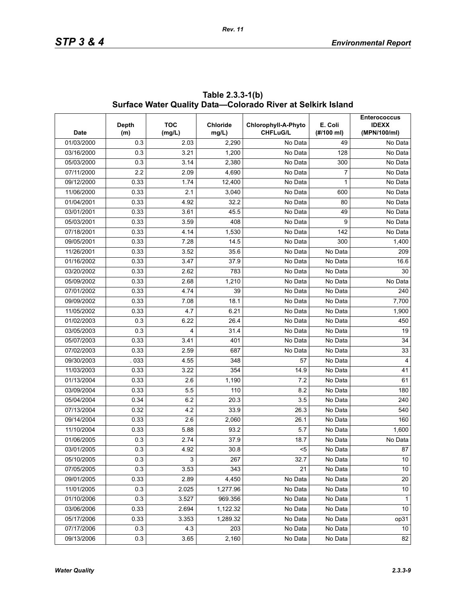| <b>Date</b> | Depth<br>(m) | <b>TOC</b><br>(mg/L) | <b>Chloride</b><br>mg/L) | Chlorophyll-A-Phyto<br><b>CHFLuG/L</b> | E. Coli<br>(#/100 ml) | <b>Enterococcus</b><br><b>IDEXX</b><br>(MPN/100/ml) |
|-------------|--------------|----------------------|--------------------------|----------------------------------------|-----------------------|-----------------------------------------------------|
| 01/03/2000  | 0.3          | 2.03                 | 2,290                    | No Data                                | 49                    | No Data                                             |
| 03/16/2000  | 0.3          | 3.21                 | 1,200                    | No Data                                | 128                   | $\overline{No}$ Data                                |
| 05/03/2000  | 0.3          | 3.14                 | 2,380                    | No Data                                | 300                   | No Data                                             |
| 07/11/2000  | 2.2          | 2.09                 | 4,690                    | No Data                                | 7                     | No Data                                             |
| 09/12/2000  | 0.33         | 1.74                 | 12,400                   | No Data                                | 1                     | No Data                                             |
| 11/06/2000  | 0.33         | 2.1                  | 3,040                    | No Data                                | 600                   | No Data                                             |
| 01/04/2001  | 0.33         | 4.92                 | 32.2                     | No Data                                | 80                    | No Data                                             |
| 03/01/2001  | 0.33         | 3.61                 | 45.5                     | No Data                                | 49                    | No Data                                             |
| 05/03/2001  | 0.33         | 3.59                 | 408                      | No Data                                | 9                     | No Data                                             |
| 07/18/2001  | 0.33         | 4.14                 | 1,530                    | No Data                                | 142                   | No Data                                             |
| 09/05/2001  | 0.33         | 7.28                 | 14.5                     | No Data                                | 300                   | 1,400                                               |
| 11/26/2001  | 0.33         | 3.52                 | 35.6                     | No Data                                | No Data               | 209                                                 |
| 01/16/2002  | 0.33         | 3.47                 | 37.9                     | No Data                                | No Data               | 16.6                                                |
| 03/20/2002  | 0.33         | 2.62                 | 783                      | No Data                                | No Data               | 30                                                  |
| 05/09/2002  | 0.33         | 2.68                 | 1,210                    | No Data                                | No Data               | No Data                                             |
| 07/01/2002  | 0.33         | 4.74                 | 39                       | No Data                                | No Data               | 240                                                 |
| 09/09/2002  | 0.33         | 7.08                 | 18.1                     | No Data                                | $\overline{No}$ Data  | 7,700                                               |
| 11/05/2002  | 0.33         | 4.7                  | 6.21                     | No Data                                | No Data               | 1,900                                               |
| 01/02/2003  | 0.3          | 6.22                 | 26.4                     | No Data                                | No Data               | 450                                                 |
| 03/05/2003  | 0.3          | 4                    | 31.4                     | No Data                                | No Data               | 19                                                  |
| 05/07/2003  | 0.33         | 3.41                 | 401                      | No Data                                | No Data               | 34                                                  |
| 07/02/2003  | 0.33         | 2.59                 | 687                      | No Data                                | No Data               | 33                                                  |
| 09/30/2003  | 033          | 4.55                 | 348                      | 57                                     | No Data               | $\overline{4}$                                      |
| 11/03/2003  | 0.33         | 3.22                 | 354                      | 14.9                                   | No Data               | 41                                                  |
| 01/13/2004  | 0.33         | 2.6                  | 1,190                    | 7.2                                    | No Data               | 61                                                  |
| 03/09/2004  | 0.33         | 5.5                  | 110                      | 8.2                                    | $\overline{No}$ Data  | 180                                                 |
| 05/04/2004  | 0.34         | 6.2                  | 20.3                     | 3.5                                    | No Data               | 240                                                 |
| 07/13/2004  | 0.32         | 4.2                  | 33.9                     | 26.3                                   | No Data               | 540                                                 |
| 09/14/2004  | 0.33         | 2.6                  | 2,060                    | 26.1                                   | $\overline{No}$ Data  | 160                                                 |
| 11/10/2004  | 0.33         | 5.88                 | 93.2                     | 5.7                                    | No Data               | 1,600                                               |
| 01/06/2005  | 0.3          | 2.74                 | 37.9                     | 18.7                                   | No Data               | No Data                                             |
| 03/01/2005  | 0.3          | 4.92                 | 30.8                     | $5$                                    | No Data               | ${\bf 87}$                                          |
| 05/10/2005  | 0.3          | 3                    | 267                      | 32.7                                   | No Data               | 10 <sup>1</sup>                                     |
| 07/05/2005  | 0.3          | 3.53                 | 343                      | 21                                     | No Data               | 10                                                  |
| 09/01/2005  | 0.33         | 2.89                 | 4,450                    | No Data                                | No Data               | 20                                                  |
| 11/01/2005  | 0.3          | 2.025                | 1,277.96                 | No Data                                | No Data               | 10                                                  |
| 01/10/2006  | 0.3          | 3.527                | 969.356                  | No Data                                | No Data               | $\mathbf{1}$                                        |
| 03/06/2006  | 0.33         | 2.694                | 1,122.32                 | No Data                                | No Data               | 10                                                  |
| 05/17/2006  | 0.33         | 3.353                | 1,289.32                 | No Data                                | No Data               | op31                                                |
| 07/17/2006  | 0.3          | 4.3                  | 203                      | No Data                                | No Data               | 10 <sup>°</sup>                                     |
| 09/13/2006  | 0.3          | 3.65                 | 2,160                    | No Data                                | No Data               | 82                                                  |

**Table 2.3.3-1(b) Surface Water Quality Data—Colorado River at Selkirk Island**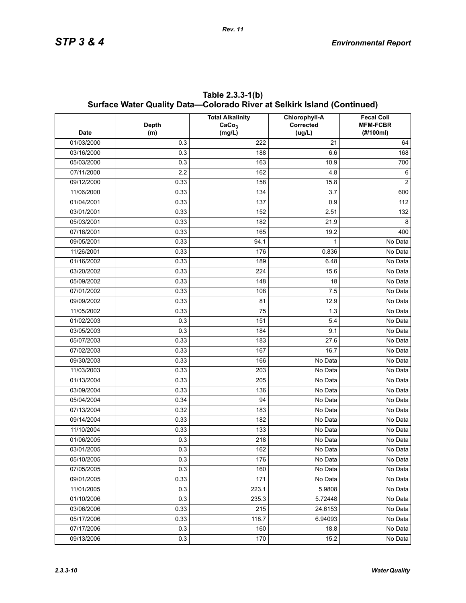| <b>Date</b> | <b>Depth</b><br>(m) | <b>Total Alkalinity</b><br>CaCo <sub>3</sub><br>(mg/L) | Chlorophyll-A<br>Corrected<br>(ug/L) | <b>Fecal Coli</b><br><b>MFM-FCBR</b><br>(#/100ml) |
|-------------|---------------------|--------------------------------------------------------|--------------------------------------|---------------------------------------------------|
| 01/03/2000  | 0.3                 | 222                                                    | 21                                   | 64                                                |
| 03/16/2000  | 0.3                 | 188                                                    | 6.6                                  | 168                                               |
| 05/03/2000  | 0.3                 | 163                                                    | 10.9                                 | 700                                               |
| 07/11/2000  | 2.2                 | 162                                                    | 4.8                                  | 6                                                 |
| 09/12/2000  | 0.33                | 158                                                    | 15.8                                 | $\overline{2}$                                    |
| 11/06/2000  | 0.33                | 134                                                    | 3.7                                  | 600                                               |
| 01/04/2001  | 0.33                | 137                                                    | 0.9                                  | 112                                               |
| 03/01/2001  | 0.33                | 152                                                    | 2.51                                 | 132                                               |
| 05/03/2001  | 0.33                | 182                                                    | 21.9                                 | 8                                                 |
| 07/18/2001  | 0.33                | 165                                                    | 19.2                                 | 400                                               |
| 09/05/2001  | 0.33                | 94.1                                                   | 1                                    | No Data                                           |
| 11/26/2001  | 0.33                | 176                                                    | 0.836                                | No Data                                           |
| 01/16/2002  | 0.33                | 189                                                    | 6.48                                 | No Data                                           |
| 03/20/2002  | 0.33                | 224                                                    | 15.6                                 | No Data                                           |
| 05/09/2002  | 0.33                | 148                                                    | 18                                   | No Data                                           |
| 07/01/2002  | 0.33                | 108                                                    | 7.5                                  | No Data                                           |
| 09/09/2002  | 0.33                | 81                                                     | 12.9                                 | No Data                                           |
| 11/05/2002  | 0.33                | 75                                                     | 1.3                                  | No Data                                           |
| 01/02/2003  | 0.3                 | 151                                                    | 5.4                                  | No Data                                           |
| 03/05/2003  | 0.3                 | 184                                                    | 9.1                                  | No Data                                           |
| 05/07/2003  | 0.33                | 183                                                    | 27.6                                 | No Data                                           |
| 07/02/2003  | 0.33                | 167                                                    | 16.7                                 | No Data                                           |
| 09/30/2003  | 0.33                | 166                                                    | No Data                              | No Data                                           |
| 11/03/2003  | 0.33                | 203                                                    | No Data                              | No Data                                           |
| 01/13/2004  | 0.33                | 205                                                    | No Data                              | No Data                                           |
| 03/09/2004  | 0.33                | 136                                                    | No Data                              | No Data                                           |
| 05/04/2004  | 0.34                | 94                                                     | No Data                              | No Data                                           |
| 07/13/2004  | 0.32                | 183                                                    | No Data                              | No Data                                           |
| 09/14/2004  | 0.33                | 182                                                    | No Data                              | No Data                                           |
| 11/10/2004  | 0.33                | 133                                                    | No Data                              | No Data                                           |
| 01/06/2005  | 0.3                 | 218                                                    | No Data                              | No Data                                           |
| 03/01/2005  | 0.3                 | 162                                                    | No Data                              | No Data                                           |
| 05/10/2005  | 0.3                 | 176                                                    | No Data                              | No Data                                           |
| 07/05/2005  | 0.3                 | 160                                                    | No Data                              | No Data                                           |
| 09/01/2005  | 0.33                | 171                                                    | No Data                              | No Data                                           |
| 11/01/2005  | 0.3                 | 223.1                                                  | 5.9808                               | No Data                                           |
| 01/10/2006  | 0.3                 | 235.3                                                  | 5.72448                              | No Data                                           |
| 03/06/2006  | 0.33                | 215                                                    | 24.6153                              | No Data                                           |
| 05/17/2006  | 0.33                | 118.7                                                  | 6.94093                              | No Data                                           |
| 07/17/2006  | 0.3                 | 160                                                    | 18.8                                 | No Data                                           |
| 09/13/2006  | 0.3                 | 170                                                    | 15.2                                 | No Data                                           |

**Table 2.3.3-1(b) Surface Water Quality Data—Colorado River at Selkirk Island (Continued)**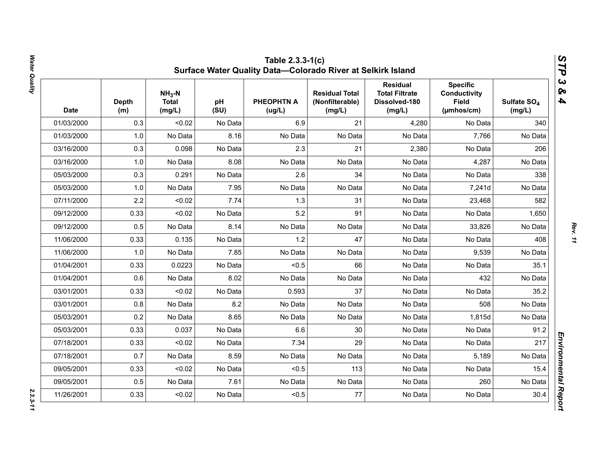| <b>Date</b> | <b>Depth</b><br>(m) | $NH3-N$<br><b>Total</b><br>(mg/L) | pH<br>(SU) | <b>PHEOPHTN A</b><br>(ug/L) | <b>Residual Total</b><br>(Nonfilterable)<br>(mg/L) | <b>Residual</b><br><b>Total Filtrate</b><br>Dissolved-180<br>(mg/L) | <b>Specific</b><br><b>Conductivity</b><br><b>Field</b><br>(µmhos/cm) | Sulfate SO <sub>4</sub><br>(mg/L) |
|-------------|---------------------|-----------------------------------|------------|-----------------------------|----------------------------------------------------|---------------------------------------------------------------------|----------------------------------------------------------------------|-----------------------------------|
| 01/03/2000  | 0.3                 | < 0.02                            | No Data    | 6.9                         | 21                                                 | 4,280                                                               | No Data                                                              | 340                               |
| 01/03/2000  | 1.0                 | No Data                           | 8.16       | No Data                     | No Data                                            | No Data                                                             | 7,766                                                                | No Data                           |
| 03/16/2000  | 0.3                 | 0.098                             | No Data    | 2.3                         | 21                                                 | 2,380                                                               | No Data                                                              | 206                               |
| 03/16/2000  | 1.0                 | No Data                           | 8.08       | No Data                     | No Data                                            | No Data                                                             | 4,287                                                                | No Data                           |
| 05/03/2000  | 0.3                 | 0.291                             | No Data    | 2.6                         | 34                                                 | No Data                                                             | No Data                                                              | 338                               |
| 05/03/2000  | 1.0                 | No Data                           | 7.95       | No Data                     | No Data                                            | No Data                                                             | 7,241d                                                               | No Data                           |
| 07/11/2000  | 2.2                 | < 0.02                            | 7.74       | 1.3                         | 31                                                 | No Data                                                             | 23,468                                                               | 582                               |
| 09/12/2000  | 0.33                | < 0.02                            | No Data    | 5.2                         | 91                                                 | No Data                                                             | No Data                                                              | 1,650                             |
| 09/12/2000  | 0.5                 | No Data                           | 8.14       | No Data                     | No Data                                            | No Data                                                             | 33,826                                                               | No Data                           |
| 11/06/2000  | 0.33                | 0.135                             | No Data    | 1.2                         | 47                                                 | No Data                                                             | No Data                                                              | 408                               |
| 11/06/2000  | 1.0                 | No Data                           | 7.85       | No Data                     | No Data                                            | No Data                                                             | 9,539                                                                | No Data                           |
| 01/04/2001  | 0.33                | 0.0223                            | No Data    | < 0.5                       | 66                                                 | No Data                                                             | No Data                                                              | 35.1                              |
| 01/04/2001  | 0.6                 | No Data                           | 8.02       | No Data                     | No Data                                            | No Data                                                             | 432                                                                  | No Data                           |
| 03/01/2001  | 0.33                | < 0.02                            | No Data    | 0.593                       | 37                                                 | No Data                                                             | No Data                                                              | 35.2                              |
| 03/01/2001  | 0.8                 | No Data                           | 8.2        | No Data                     | No Data                                            | No Data                                                             | 508                                                                  | No Data                           |
| 05/03/2001  | 0.2                 | No Data                           | 8.65       | No Data                     | No Data                                            | No Data                                                             | 1,815d                                                               | No Data                           |
| 05/03/2001  | 0.33                | 0.037                             | No Data    | 6.6                         | 30                                                 | No Data                                                             | No Data                                                              | 91.2                              |
| 07/18/2001  | 0.33                | < 0.02                            | No Data    | 7.34                        | 29                                                 | No Data                                                             | No Data                                                              | 217                               |
| 07/18/2001  | 0.7                 | No Data                           | 8.59       | No Data                     | No Data                                            | No Data                                                             | 5,189                                                                | No Data                           |
| 09/05/2001  | 0.33                | < 0.02                            | No Data    | < 0.5                       | 113                                                | No Data                                                             | No Data                                                              | 15.4                              |
| 09/05/2001  | 0.5                 | No Data                           | 7.61       | No Data                     | No Data                                            | No Data                                                             | 260                                                                  | No Data                           |
| 11/26/2001  | 0.33                | < 0.02                            | No Data    | < 0.5                       | 77                                                 | No Data                                                             | No Data                                                              | 30.4                              |

Water Quality *Water Quality 2.3.3-11*

 $2.3.3 - 11$ 

*Rev. 11*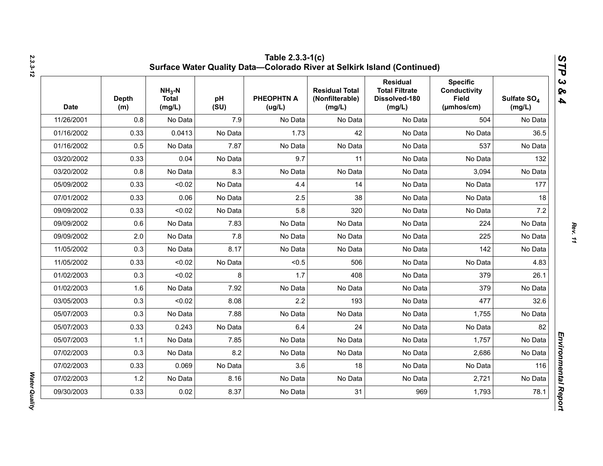| <b>Date</b> | <b>Depth</b><br>(m) | $NH3-N$<br><b>Total</b><br>(mg/L) | pH<br>(SU) | <b>PHEOPHTN A</b><br>(ug/L) | <b>Residual Total</b><br>(Nonfilterable)<br>(mg/L) | <b>Residual</b><br><b>Total Filtrate</b><br>Dissolved-180<br>(mg/L) | <b>Specific</b><br><b>Conductivity</b><br><b>Field</b><br>$(\mu m \text{hos/cm})$ | Sulfate SO <sub>4</sub><br>(mg/L) |
|-------------|---------------------|-----------------------------------|------------|-----------------------------|----------------------------------------------------|---------------------------------------------------------------------|-----------------------------------------------------------------------------------|-----------------------------------|
| 11/26/2001  | 0.8                 | No Data                           | 7.9        | No Data                     | No Data                                            | No Data                                                             | 504                                                                               | No Data                           |
| 01/16/2002  | 0.33                | 0.0413                            | No Data    | 1.73                        | 42                                                 | No Data                                                             | No Data                                                                           | 36.5                              |
| 01/16/2002  | 0.5                 | No Data                           | 7.87       | No Data                     | No Data                                            | No Data                                                             | 537                                                                               | No Data                           |
| 03/20/2002  | 0.33                | 0.04                              | No Data    | 9.7                         | 11                                                 | No Data                                                             | No Data                                                                           | 132                               |
| 03/20/2002  | 0.8                 | No Data                           | 8.3        | No Data                     | No Data                                            | No Data                                                             | 3,094                                                                             | No Data                           |
| 05/09/2002  | 0.33                | < 0.02                            | No Data    | 4.4                         | 14                                                 | No Data                                                             | No Data                                                                           | 177                               |
| 07/01/2002  | 0.33                | 0.06                              | No Data    | 2.5                         | 38                                                 | No Data                                                             | No Data                                                                           | 18                                |
| 09/09/2002  | 0.33                | < 0.02                            | No Data    | 5.8                         | 320                                                | No Data                                                             | No Data                                                                           | 7.2                               |
| 09/09/2002  | 0.6                 | No Data                           | 7.83       | No Data                     | No Data                                            | No Data                                                             | 224                                                                               | No Data                           |
| 09/09/2002  | 2.0                 | No Data                           | 7.8        | No Data                     | No Data                                            | No Data                                                             | 225                                                                               | No Data                           |
| 11/05/2002  | 0.3                 | No Data                           | 8.17       | No Data                     | No Data                                            | No Data                                                             | 142                                                                               | No Data                           |
| 11/05/2002  | 0.33                | < 0.02                            | No Data    | < 0.5                       | 506                                                | No Data                                                             | No Data                                                                           | 4.83                              |
| 01/02/2003  | 0.3                 | < 0.02                            | 8          | 1.7                         | 408                                                | No Data                                                             | 379                                                                               | 26.1                              |
| 01/02/2003  | 1.6                 | No Data                           | 7.92       | No Data                     | No Data                                            | No Data                                                             | 379                                                                               | No Data                           |
| 03/05/2003  | 0.3                 | < 0.02                            | 8.08       | 2.2                         | 193                                                | No Data                                                             | 477                                                                               | 32.6                              |
| 05/07/2003  | 0.3                 | No Data                           | 7.88       | No Data                     | No Data                                            | No Data                                                             | 1,755                                                                             | No Data                           |
| 05/07/2003  | 0.33                | 0.243                             | No Data    | 6.4                         | 24                                                 | No Data                                                             | No Data                                                                           | 82                                |
| 05/07/2003  | 1.1                 | No Data                           | 7.85       | No Data                     | No Data                                            | No Data                                                             | 1,757                                                                             | No Data                           |
| 07/02/2003  | 0.3                 | No Data                           | 8.2        | No Data                     | No Data                                            | No Data                                                             | 2,686                                                                             | No Data                           |
| 07/02/2003  | 0.33                | 0.069                             | No Data    | 3.6                         | 18                                                 | No Data                                                             | No Data                                                                           | 116                               |
| 07/02/2003  | 1.2                 | No Data                           | 8.16       | No Data                     | No Data                                            | No Data                                                             | 2,721                                                                             | No Data                           |
| 09/30/2003  | 0.33                | 0.02                              | 8.37       | No Data                     | 31                                                 | 969                                                                 | 1,793                                                                             | 78.1                              |

*Water Quality* 

Water Quality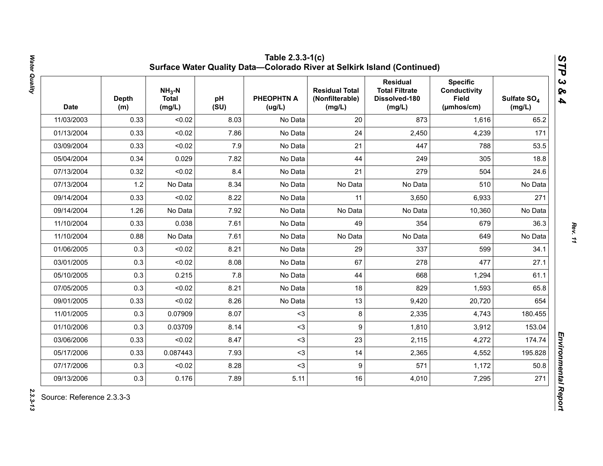| <b>Date</b> | <b>Depth</b><br>(m) | $NH3-N$<br><b>Total</b><br>(mg/L) | pH<br>(SU) | <b>PHEOPHTN A</b><br>(ug/L) | <b>Residual Total</b><br>(Nonfilterable)<br>(mg/L) | <b>Residual</b><br><b>Total Filtrate</b><br>Dissolved-180<br>(mg/L) | <b>Specific</b><br><b>Conductivity</b><br><b>Field</b><br>(µmhos/cm) | Sulfate SO <sub>4</sub><br>(mg/L) |
|-------------|---------------------|-----------------------------------|------------|-----------------------------|----------------------------------------------------|---------------------------------------------------------------------|----------------------------------------------------------------------|-----------------------------------|
| 11/03/2003  | 0.33                | < 0.02                            | 8.03       | No Data                     | 20                                                 | 873                                                                 | 1,616                                                                | 65.2                              |
| 01/13/2004  | 0.33                | < 0.02                            | 7.86       | No Data                     | 24                                                 | 2,450                                                               | 4,239                                                                | 171                               |
| 03/09/2004  | 0.33                | < 0.02                            | 7.9        | No Data                     | 21                                                 | 447                                                                 | 788                                                                  | 53.5                              |
| 05/04/2004  | 0.34                | 0.029                             | 7.82       | No Data                     | 44                                                 | 249                                                                 | 305                                                                  | 18.8                              |
| 07/13/2004  | 0.32                | < 0.02                            | 8.4        | No Data                     | 21                                                 | 279                                                                 | 504                                                                  | 24.6                              |
| 07/13/2004  | 1.2                 | No Data                           | 8.34       | No Data                     | No Data                                            | No Data                                                             | 510                                                                  | No Data                           |
| 09/14/2004  | 0.33                | < 0.02                            | 8.22       | No Data                     | 11                                                 | 3,650                                                               | 6,933                                                                | 271                               |
| 09/14/2004  | 1.26                | No Data                           | 7.92       | No Data                     | No Data                                            | No Data                                                             | 10,360                                                               | No Data                           |
| 11/10/2004  | 0.33                | 0.038                             | 7.61       | No Data                     | 49                                                 | 354                                                                 | 679                                                                  | 36.3                              |
| 11/10/2004  | 0.88                | No Data                           | 7.61       | No Data                     | No Data                                            | No Data                                                             | 649                                                                  | No Data                           |
| 01/06/2005  | 0.3                 | < 0.02                            | 8.21       | No Data                     | 29                                                 | 337                                                                 | 599                                                                  | 34.1                              |
| 03/01/2005  | 0.3                 | < 0.02                            | 8.08       | No Data                     | 67                                                 | 278                                                                 | 477                                                                  | 27.1                              |
| 05/10/2005  | 0.3                 | 0.215                             | 7.8        | No Data                     | 44                                                 | 668                                                                 | 1,294                                                                | 61.1                              |
| 07/05/2005  | 0.3                 | < 0.02                            | 8.21       | No Data                     | 18                                                 | 829                                                                 | 1,593                                                                | 65.8                              |
| 09/01/2005  | 0.33                | < 0.02                            | 8.26       | No Data                     | 13                                                 | 9,420                                                               | 20,720                                                               | 654                               |
| 11/01/2005  | 0.3                 | 0.07909                           | 8.07       | $3$                         | 8                                                  | 2,335                                                               | 4,743                                                                | 180.455                           |
| 01/10/2006  | 0.3                 | 0.03709                           | 8.14       | $3$                         | 9                                                  | 1,810                                                               | 3,912                                                                | 153.04                            |
| 03/06/2006  | 0.33                | < 0.02                            | 8.47       | $3$                         | 23                                                 | 2,115                                                               | 4,272                                                                | 174.74                            |
| 05/17/2006  | 0.33                | 0.087443                          | 7.93       | $3$                         | 14                                                 | 2,365                                                               | 4,552                                                                | 195.828                           |
| 07/17/2006  | 0.3                 | < 0.02                            | 8.28       | $3$                         | 9                                                  | 571                                                                 | 1,172                                                                | 50.8                              |
| 09/13/2006  | 0.3                 | 0.176                             | 7.89       | 5.11                        | 16                                                 | 4,010                                                               | 7,295                                                                | 271                               |

Water Quality *Water Quality 2.3.3-13*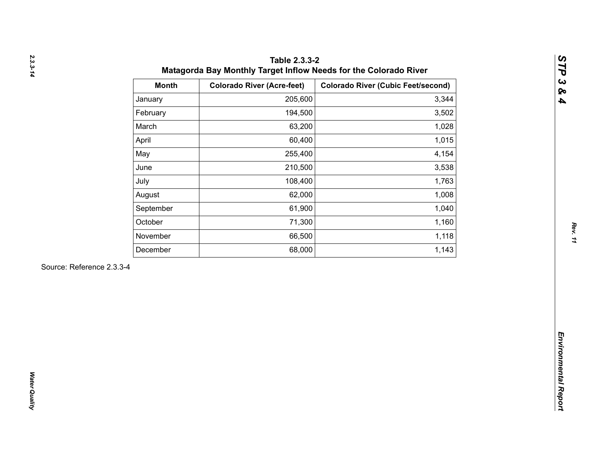| 205,600<br>January<br>194,500<br>February<br>March<br>63,200<br>60,400<br>April<br>May<br>255,400<br>210,500<br>June<br>108,400<br>July<br>62,000<br>August<br>61,900<br>September<br>October<br>71,300<br>66,500<br>November<br>68,000<br>December | 3,344<br>3,502<br>1,028<br>1,015<br>4,154<br>3,538<br>1,763<br>1,008<br>1,040 |
|-----------------------------------------------------------------------------------------------------------------------------------------------------------------------------------------------------------------------------------------------------|-------------------------------------------------------------------------------|
|                                                                                                                                                                                                                                                     |                                                                               |
|                                                                                                                                                                                                                                                     |                                                                               |
|                                                                                                                                                                                                                                                     |                                                                               |
|                                                                                                                                                                                                                                                     |                                                                               |
|                                                                                                                                                                                                                                                     |                                                                               |
|                                                                                                                                                                                                                                                     |                                                                               |
|                                                                                                                                                                                                                                                     |                                                                               |
|                                                                                                                                                                                                                                                     |                                                                               |
|                                                                                                                                                                                                                                                     |                                                                               |
|                                                                                                                                                                                                                                                     | 1,160                                                                         |
|                                                                                                                                                                                                                                                     | 1,118                                                                         |
|                                                                                                                                                                                                                                                     | 1,143                                                                         |
| Source: Reference 2.3.3-4                                                                                                                                                                                                                           |                                                                               |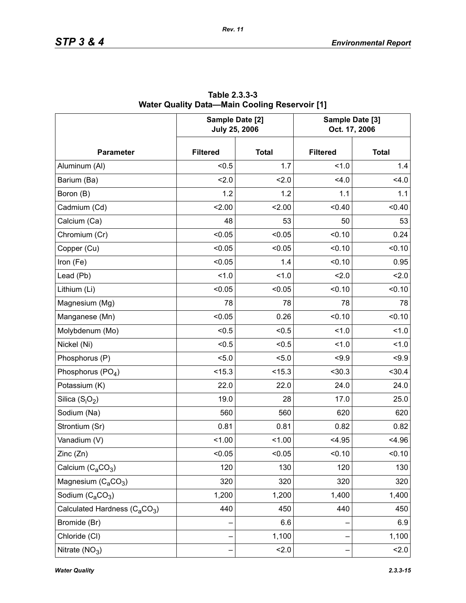|                                                       | Sample Date [2]<br><b>July 25, 2006</b> |              | Sample Date [3]<br>Oct. 17, 2006 |              |  |
|-------------------------------------------------------|-----------------------------------------|--------------|----------------------------------|--------------|--|
| <b>Parameter</b>                                      | <b>Filtered</b>                         | <b>Total</b> | <b>Filtered</b>                  | <b>Total</b> |  |
| Aluminum (Al)                                         | < 0.5                                   | 1.7          | 1.0                              | 1.4          |  |
| Barium (Ba)                                           | 2.0                                     | 2.0          | 4.0                              | 4.0          |  |
| Boron (B)                                             | 1.2                                     | 1.2          | 1.1                              | 1.1          |  |
| Cadmium (Cd)                                          | 2.00                                    | 2.00         | < 0.40                           | < 0.40       |  |
| Calcium (Ca)                                          | 48                                      | 53           | 50                               | 53           |  |
| Chromium (Cr)                                         | < 0.05                                  | < 0.05       | < 0.10                           | 0.24         |  |
| Copper (Cu)                                           | < 0.05                                  | < 0.05       | < 0.10                           | < 0.10       |  |
| Iron (Fe)                                             | < 0.05                                  | 1.4          | < 0.10                           | 0.95         |  |
| Lead (Pb)                                             | 1.0                                     | 1.0          | 2.0                              | 2.0          |  |
| Lithium (Li)                                          | < 0.05                                  | < 0.05       | < 0.10                           | < 0.10       |  |
| Magnesium (Mg)                                        | 78                                      | 78           | 78                               | 78           |  |
| Manganese (Mn)                                        | < 0.05                                  | 0.26         | < 0.10                           | < 0.10       |  |
| Molybdenum (Mo)                                       | < 0.5                                   | < 0.5        | 1.0                              | 1.0          |  |
| Nickel (Ni)                                           | < 0.5                                   | < 0.5        | 1.0                              | 1.0          |  |
| Phosphorus (P)                                        | < 5.0                                   | 5.0          | < 9.9                            | < 9.9        |  |
| Phosphorus (PO <sub>4</sub> )                         | < 15.3                                  | < 15.3       | $30.3$                           | < 30.4       |  |
| Potassium (K)                                         | 22.0                                    | 22.0         | 24.0                             | 24.0         |  |
| Silica $(S_iO_2)$                                     | 19.0                                    | 28           | 17.0                             | 25.0         |  |
| Sodium (Na)                                           | 560                                     | 560          | 620                              | 620          |  |
| Strontium (Sr)                                        | 0.81                                    | 0.81         | 0.82                             | 0.82         |  |
| Vanadium (V)                                          | < 1.00                                  | 1.00         | < 4.95                           | < 4.96       |  |
| Zinc (Zn)                                             | < 0.05                                  | 0.05         | < 0.10                           | 0.10         |  |
| Calcium $(C_2CO_3)$                                   | 120                                     | 130          | 120                              | 130          |  |
| Magnesium $(C_4CO_3)$                                 | 320                                     | 320          | 320                              | 320          |  |
| Sodium $(C_aCO_3)$                                    | 1,200                                   | 1,200        | 1,400                            | 1,400        |  |
| Calculated Hardness (C <sub>a</sub> CO <sub>3</sub> ) | 440                                     | 450          | 440                              | 450          |  |
| Bromide (Br)                                          |                                         | 6.6          |                                  | 6.9          |  |
| Chloride (CI)                                         |                                         | 1,100        |                                  | 1,100        |  |
| Nitrate $(NO3)$                                       |                                         | 2.0          |                                  | 2.0          |  |

**Table 2.3.3-3 Water Quality Data—Main Cooling Reservoir [1]**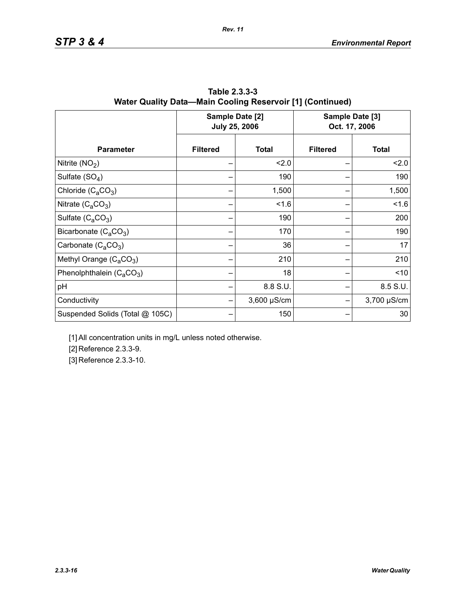|                                 |                 | Sample Date [2]<br><b>July 25, 2006</b> | Sample Date [3]<br>Oct. 17, 2006 |              |  |
|---------------------------------|-----------------|-----------------------------------------|----------------------------------|--------------|--|
| <b>Parameter</b>                | <b>Filtered</b> | <b>Total</b>                            | <b>Filtered</b>                  | <b>Total</b> |  |
| Nitrite $(NO2)$                 |                 | 2.0                                     |                                  | 2.0          |  |
| Sulfate $(SO4)$                 |                 | 190                                     |                                  | 190          |  |
| Chloride $(C_aCO_3)$            |                 | 1,500                                   |                                  | 1,500        |  |
| Nitrate $(C_4CO_3)$             |                 | 1.6                                     |                                  | 1.6          |  |
| Sulfate $(C_4CO_3)$             |                 | 190                                     |                                  | 200          |  |
| Bicarbonate $(C_4CO_3)$         |                 | 170                                     |                                  | 190          |  |
| Carbonate $(C_aCO_3)$           |                 | 36                                      |                                  | 17           |  |
| Methyl Orange $(C_aCO_3)$       |                 | 210                                     |                                  | 210          |  |
| Phenolphthalein $(C_aCO_3)$     |                 | 18                                      |                                  | ~10          |  |
| pH                              |                 | 8.8 S.U.                                |                                  | 8.5 S.U.     |  |
| Conductivity                    |                 | $3,600 \mu S/cm$                        |                                  | 3,700 µS/cm  |  |
| Suspended Solids (Total @ 105C) |                 | 150                                     |                                  | 30           |  |

**Table 2.3.3-3 Water Quality Data—Main Cooling Reservoir [1] (Continued)**

[1] All concentration units in mg/L unless noted otherwise.

[2] Reference 2.3.3-9.

[3] Reference 2.3.3-10.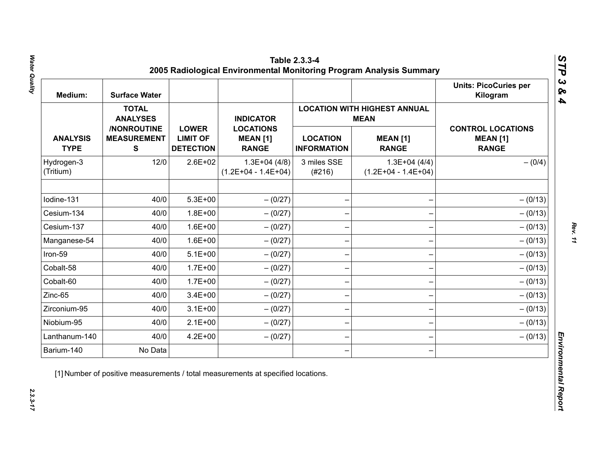| Medium:                        | <b>Surface Water</b>                           |                                                     |                                                     |                                       |                                                    | <b>Units: PicoCuries per</b><br>Kilogram                    |
|--------------------------------|------------------------------------------------|-----------------------------------------------------|-----------------------------------------------------|---------------------------------------|----------------------------------------------------|-------------------------------------------------------------|
|                                | <b>TOTAL</b><br><b>ANALYSES</b>                |                                                     | <b>INDICATOR</b>                                    |                                       | <b>LOCATION WITH HIGHEST ANNUAL</b><br><b>MEAN</b> |                                                             |
| <b>ANALYSIS</b><br><b>TYPE</b> | /NONROUTINE<br><b>MEASUREMENT</b><br>${\bf S}$ | <b>LOWER</b><br><b>LIMIT OF</b><br><b>DETECTION</b> | <b>LOCATIONS</b><br><b>MEAN [1]</b><br><b>RANGE</b> | <b>LOCATION</b><br><b>INFORMATION</b> | <b>MEAN [1]</b><br><b>RANGE</b>                    | <b>CONTROL LOCATIONS</b><br><b>MEAN [1]</b><br><b>RANGE</b> |
| Hydrogen-3<br>(Tritium)        | 12/0                                           | $2.6E + 02$                                         | $1.3E+04(4/8)$<br>$(1.2E+04 - 1.4E+04)$             | 3 miles SSE<br>(#216)                 | $1.3E+04(4/4)$<br>$(1.2E+04 - 1.4E+04)$            | $- (0/4)$                                                   |
| Iodine-131                     | 40/0                                           | $5.3E + 00$                                         | $- (0/27)$                                          |                                       |                                                    | $- (0/13)$                                                  |
| Cesium-134                     | 40/0                                           | $1.8E + 00$                                         | $- (0/27)$                                          |                                       |                                                    | $- (0/13)$                                                  |
| Cesium-137                     | 40/0                                           | $1.6E + 00$                                         | $-(0/27)$                                           |                                       |                                                    | $- (0/13)$                                                  |
| Manganese-54                   | 40/0                                           | $1.6E + 00$                                         | $- (0/27)$                                          |                                       |                                                    | $- (0/13)$                                                  |
| Iron-59                        | 40/0                                           | $5.1E+00$                                           | $- (0/27)$                                          |                                       |                                                    | $- (0/13)$                                                  |
| Cobalt-58                      | 40/0                                           | $1.7E + 00$                                         | $-(0/27)$                                           |                                       |                                                    | $- (0/13)$                                                  |
| Cobalt-60                      | 40/0                                           | $1.7E + 00$                                         | $-(0/27)$                                           |                                       |                                                    | $- (0/13)$                                                  |
| Zinc-65                        | 40/0                                           | $3.4E + 00$                                         | $- (0/27)$                                          |                                       |                                                    | $- (0/13)$                                                  |
| Zirconium-95                   | 40/0                                           | $3.1E + 00$                                         | $-(0/27)$                                           |                                       |                                                    | $- (0/13)$                                                  |
| Niobium-95                     | 40/0                                           | $2.1E+00$                                           | $-(0/27)$                                           |                                       |                                                    | $- (0/13)$                                                  |
| Lanthanum-140                  | 40/0                                           | $4.2E + 00$                                         | $- (0/27)$                                          |                                       |                                                    | $- (0/13)$                                                  |
| Barium-140                     | No Data                                        |                                                     |                                                     |                                       |                                                    |                                                             |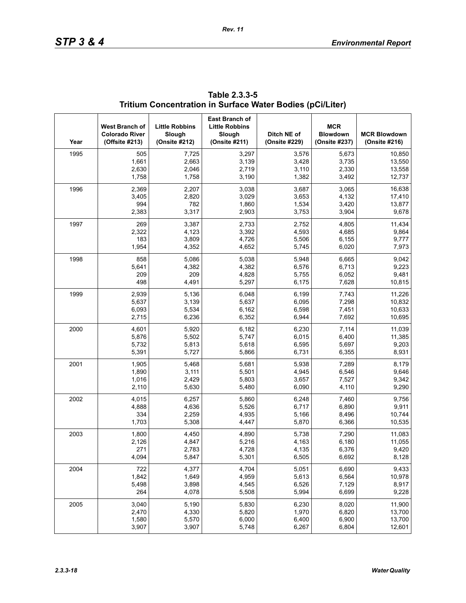| Year | West Branch of<br><b>Colorado River</b><br>(Offsite #213) | <b>Little Robbins</b><br>Slough<br>(Onsite #212) | East Branch of<br><b>Little Robbins</b><br>Slough<br>(Onsite #211) | Ditch NE of<br>(Onsite #229) | <b>MCR</b><br><b>Blowdown</b><br>(Onsite #237) | <b>MCR Blowdown</b><br>(Onsite #216) |
|------|-----------------------------------------------------------|--------------------------------------------------|--------------------------------------------------------------------|------------------------------|------------------------------------------------|--------------------------------------|
| 1995 | 505                                                       | 7,725                                            | 3,297                                                              | 3,576                        | 5,673                                          | 10.850                               |
|      | 1,661                                                     | 2,663                                            | 3,139                                                              | 3,428                        | 3,735                                          | 13,550                               |
|      | 2,630                                                     | 2,046                                            | 2,719                                                              | 3,110                        | 2,330                                          | 13,558                               |
|      | 1,758                                                     | 1,758                                            | 3,190                                                              | 1,382                        | 3,492                                          | 12,737                               |
| 1996 | 2,369                                                     | 2,207                                            | 3,038                                                              | 3,687                        | 3,065                                          | 16,638                               |
|      | 3,405                                                     | 2,820                                            | 3,029                                                              | 3,653                        | 4,132                                          | 17,410                               |
|      | 994                                                       | 782                                              | 1,860                                                              | 1,534                        | 3,420                                          | 13,877                               |
|      | 2,383                                                     | 3,317                                            | 2,903                                                              | 3,753                        | 3,904                                          | 9,678                                |
| 1997 | 269                                                       | 3,387                                            | 2,733                                                              | 2,752                        | 4,805                                          | 11,434                               |
|      | 2,322                                                     | 4,123                                            | 3,392                                                              | 4,593                        | 4,685                                          | 9,864                                |
|      | 183                                                       | 3,809                                            | 4,726                                                              | 5,506                        | 6,155                                          | 9,777                                |
|      | 1,954                                                     | 4,352                                            | 4,652                                                              | 5,745                        | 6,020                                          | 7,973                                |
| 1998 | 858                                                       | 5,086                                            | 5,038                                                              | 5,948                        | 6,665                                          | 9,042                                |
|      | 5,641                                                     | 4,382                                            | 4,382                                                              | 6,576                        | 6,713                                          | 9,223                                |
|      | 209                                                       | 209                                              | 4,828                                                              | 5,755                        | 6,052                                          | 9,481                                |
|      | 498                                                       | 4,491                                            | 5,297                                                              | 6,175                        | 7,628                                          | 10,815                               |
| 1999 | 2,939                                                     | 5,136                                            | 6,048                                                              | 6,199                        | 7,743                                          | 11,226                               |
|      | 5,637                                                     | 3,139                                            | 5,637                                                              | 6,095                        | 7,298                                          | 10,832                               |
|      | 6,093                                                     | 5,534                                            | 6,162                                                              | 6,598                        | 7,451                                          | 10,633                               |
|      | 2,715                                                     | 6,236                                            | 6,352                                                              | 6,944                        | 7,692                                          | 10,695                               |
| 2000 | 4,601                                                     | 5,920                                            | 6,182                                                              | 6,230                        | 7,114                                          | 11,039                               |
|      | 5,876                                                     | 5,502                                            | 5,747                                                              | 6,015                        | 6,400                                          | 11,385                               |
|      | 5,732                                                     | 5,813                                            | 5,618                                                              | 6,595                        | 5,697                                          | 9,203                                |
|      | 5,391                                                     | 5,727                                            | 5,866                                                              | 6,731                        | 6,355                                          | 8,931                                |
| 2001 | 1,905                                                     | 5,468                                            | 5,681                                                              | 5,938                        | 7,289                                          | 8,179                                |
|      | 1,890                                                     | 3,111                                            | 5,501                                                              | 4,945                        | 6,546                                          | 9,646                                |
|      | 1,016                                                     | 2,429                                            | 5,803                                                              | 3,657                        | 7,527                                          | 9,342                                |
|      | 2,110                                                     | 5,630                                            | 5,480                                                              | 6,090                        | 4,110                                          | 9,290                                |
| 2002 | 4,015                                                     | 6,257                                            | 5,860                                                              | 6,248                        | 7,460                                          | 9,756                                |
|      | 4,888                                                     | 4,636                                            | 5,526                                                              | 6,717                        | 6,890                                          | 9,911                                |
|      | 334                                                       | 2,259                                            | 4,935                                                              | 5,166                        | 8,496                                          | 10,744                               |
|      | 1,703                                                     | 5,308                                            | 4,447                                                              | 5,870                        | 6,366                                          | 10,535                               |
| 2003 | 1,800                                                     | 4,450                                            | 4,890                                                              | 5,738                        | 7,290                                          | 11,083                               |
|      | 2,126                                                     | 4,847                                            | 5,216                                                              | 4,163                        | 6,180                                          | 11,055                               |
|      | 271                                                       | 2,783                                            | 4,728                                                              | 4,135                        | 6,376                                          | 9,420                                |
|      | 4,094                                                     | 5,847                                            | 5,301                                                              | 6,505                        | 6,692                                          | 8,128                                |
| 2004 | 722                                                       | 4,377                                            | 4,704                                                              | 5,051                        | 6,690                                          | 9,433                                |
|      | 1,842                                                     | 1,649                                            | 4,959                                                              | 5,613                        | 6,564                                          | 10,978                               |
|      | 5,498                                                     | 3,898                                            | 4,545                                                              | 6,526                        | 7,129                                          | 8,917                                |
|      | 264                                                       | 4,078                                            | 5,508                                                              | 5,994                        | 6,699                                          | 9,228                                |
| 2005 | 3,040                                                     | 5,190                                            | 5,830                                                              | 6,230                        | 8,020                                          | 11,900                               |
|      | 2,470                                                     | 4,330                                            | 5,820                                                              | 1,970                        | 6,820                                          | 13,700                               |
|      | 1,580                                                     | 5,570                                            | 6,000                                                              | 6,400                        | 6,900                                          | 13,700                               |
|      | 3,907                                                     | 3,907                                            | 5,748                                                              | 6,267                        | 6,804                                          | 12,601                               |

**Table 2.3.3-5 Tritium Concentration in Surface Water Bodies (pCi/Liter)**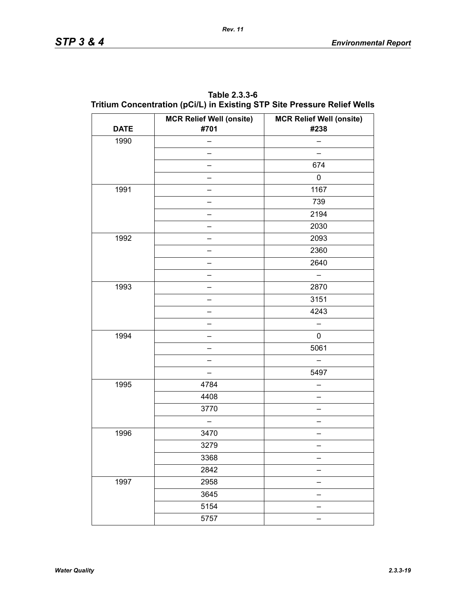| <b>DATE</b> | <b>MCR Relief Well (onsite)</b><br>#701 | <b>MCR Relief Well (onsite)</b><br>#238 |
|-------------|-----------------------------------------|-----------------------------------------|
| 1990        |                                         |                                         |
|             |                                         |                                         |
|             |                                         | 674                                     |
|             |                                         | $\pmb{0}$                               |
| 1991        |                                         | 1167                                    |
|             |                                         | 739                                     |
|             |                                         | 2194                                    |
|             |                                         | 2030                                    |
| 1992        |                                         | 2093                                    |
|             |                                         | 2360                                    |
|             |                                         | 2640                                    |
|             |                                         |                                         |
| 1993        |                                         | 2870                                    |
|             |                                         | 3151                                    |
|             |                                         | 4243                                    |
|             |                                         |                                         |
| 1994        |                                         | 0                                       |
|             |                                         | 5061                                    |
|             |                                         |                                         |
|             |                                         | 5497                                    |
| 1995        | 4784                                    |                                         |
|             | 4408                                    |                                         |
|             | 3770                                    |                                         |
|             |                                         |                                         |
| 1996        | 3470                                    |                                         |
|             | 3279                                    |                                         |
|             | 3368                                    |                                         |
|             | 2842                                    |                                         |
| 1997        | 2958                                    |                                         |
|             | 3645                                    |                                         |
|             | 5154                                    |                                         |
|             | 5757                                    |                                         |

**Table 2.3.3-6 Tritium Concentration (pCi/L) in Existing STP Site Pressure Relief Wells**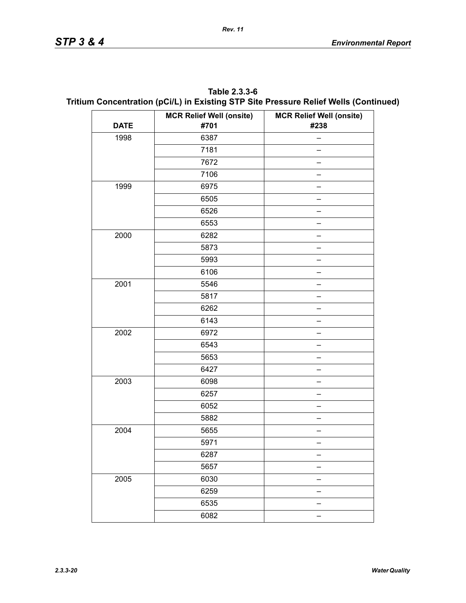| Table 2.3.3-6                                                                        |
|--------------------------------------------------------------------------------------|
| Tritium Concentration (pCi/L) in Existing STP Site Pressure Relief Wells (Continued) |

|             | <b>MCR Relief Well (onsite)</b> | <b>MCR Relief Well (onsite)</b> |  |  |  |
|-------------|---------------------------------|---------------------------------|--|--|--|
| <b>DATE</b> | #701                            | #238                            |  |  |  |
| 1998        | 6387                            |                                 |  |  |  |
|             | 7181                            |                                 |  |  |  |
|             | 7672                            |                                 |  |  |  |
|             | 7106                            |                                 |  |  |  |
| 1999        | 6975                            |                                 |  |  |  |
|             | 6505                            |                                 |  |  |  |
|             | 6526                            |                                 |  |  |  |
|             | 6553                            |                                 |  |  |  |
| 2000        | 6282                            |                                 |  |  |  |
|             | 5873                            |                                 |  |  |  |
|             | 5993                            |                                 |  |  |  |
|             | 6106                            |                                 |  |  |  |
| 2001        | 5546                            |                                 |  |  |  |
|             | 5817                            |                                 |  |  |  |
|             | 6262                            |                                 |  |  |  |
|             | 6143                            |                                 |  |  |  |
| 2002        | 6972                            |                                 |  |  |  |
|             | 6543                            |                                 |  |  |  |
|             | 5653                            |                                 |  |  |  |
|             | 6427                            |                                 |  |  |  |
| 2003        | 6098                            |                                 |  |  |  |
|             | 6257                            |                                 |  |  |  |
|             | 6052                            |                                 |  |  |  |
|             | 5882                            |                                 |  |  |  |
| 2004        | 5655                            |                                 |  |  |  |
|             | 5971                            |                                 |  |  |  |
|             | 6287                            |                                 |  |  |  |
|             | 5657                            |                                 |  |  |  |
| 2005        | 6030                            |                                 |  |  |  |
|             | 6259                            |                                 |  |  |  |
|             | 6535                            |                                 |  |  |  |
|             | 6082                            |                                 |  |  |  |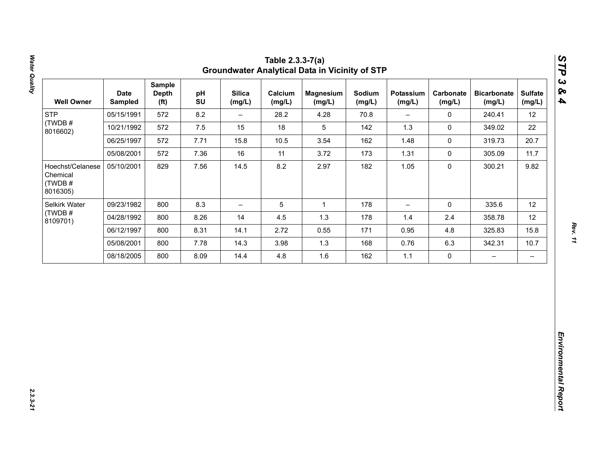| 12<br>22<br>20.7<br>11.7<br>9.82 |
|----------------------------------|
|                                  |
|                                  |
|                                  |
|                                  |
|                                  |
| 12                               |
| 12                               |
| 15.8                             |
| 10.7                             |
| $\qquad \qquad -$                |
|                                  |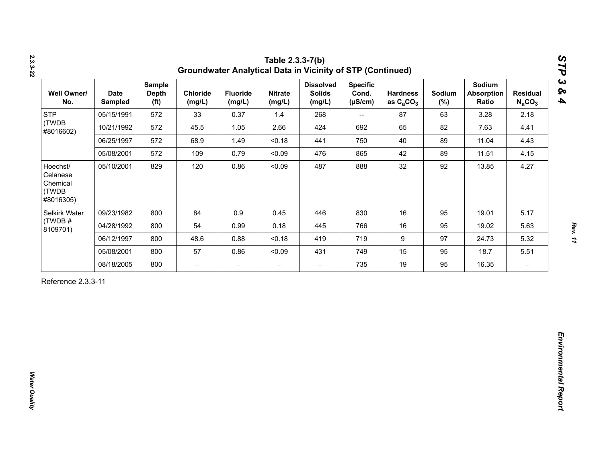| <b>STP</b><br>(TWDB                                    |            | <b>Depth</b><br>(f <sup>t</sup> ) | Chloride<br>(mg/L)       | <b>Fluoride</b><br>(mg/L) | <b>Nitrate</b><br>(mg/L) | <b>Dissolved</b><br><b>Solids</b><br>(mg/L) | <b>Specific</b><br>Cond.<br>$(\mu S/cm)$ | <b>Hardness</b><br>as $C_2CO_3$ | Sodium<br>$(\%)$ | Sodium<br><b>Absorption</b><br>Ratio | <b>Residual</b><br>$N_aCO_3$ |
|--------------------------------------------------------|------------|-----------------------------------|--------------------------|---------------------------|--------------------------|---------------------------------------------|------------------------------------------|---------------------------------|------------------|--------------------------------------|------------------------------|
| #8016602)                                              | 05/15/1991 | 572                               | 33                       | 0.37                      | 1.4                      | 268                                         | $\overline{\phantom{a}}$                 | 87                              | 63               | 3.28                                 | 2.18                         |
|                                                        | 10/21/1992 | 572                               | 45.5                     | 1.05                      | 2.66                     | 424                                         | 692                                      | 65                              | 82               | 7.63                                 | 4.41                         |
|                                                        | 06/25/1997 | 572                               | 68.9                     | 1.49                      | < 0.18                   | 441                                         | 750                                      | 40                              | 89               | 11.04                                | 4.43                         |
|                                                        | 05/08/2001 | 572                               | 109                      | 0.79                      | < 0.09                   | 476                                         | 865                                      | 42                              | 89               | 11.51                                | 4.15                         |
| Hoechst/<br>Celanese<br>Chemical<br>(TWDB<br>#8016305) | 05/10/2001 | 829                               | 120                      | 0.86                      | < 0.09                   | 487                                         | 888                                      | 32                              | 92               | 13.85                                | 4.27                         |
| Selkirk Water                                          | 09/23/1982 | 800                               | 84                       | 0.9                       | 0.45                     | 446                                         | 830                                      | 16                              | 95               | 19.01                                | 5.17                         |
| (TWDB#<br>8109701)                                     | 04/28/1992 | 800                               | 54                       | 0.99                      | 0.18                     | 445                                         | 766                                      | 16                              | 95               | 19.02                                | 5.63                         |
|                                                        | 06/12/1997 | 800                               | 48.6                     | 0.88                      | < 0.18                   | 419                                         | 719                                      | $\boldsymbol{9}$                | 97               | 24.73                                | 5.32                         |
|                                                        | 05/08/2001 | 800                               | 57                       | 0.86                      | < 0.09                   | 431                                         | 749                                      | 15                              | 95               | 18.7                                 | 5.51                         |
|                                                        | 08/18/2005 | 800                               | $\overline{\phantom{0}}$ | $\overline{\phantom{m}}$  | $\overline{\phantom{0}}$ | $\overline{\phantom{0}}$                    | 735                                      | 19                              | 95               | 16.35                                | $\overline{\phantom{m}}$     |

*2.3.3-22*

*Rev. 11*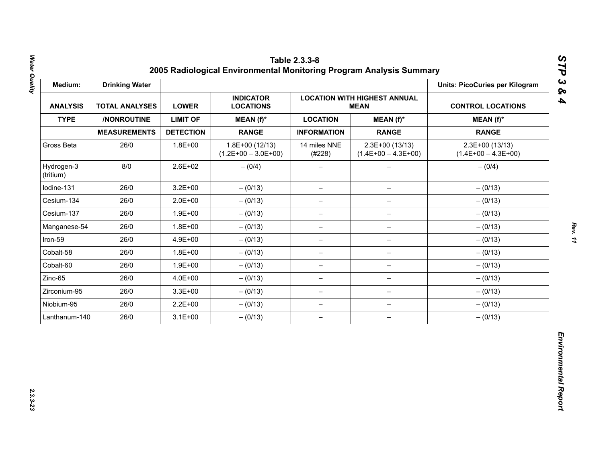| Medium:                 | <b>Drinking Water</b> |                  |                                           |                          |                                                    | <b>Units: PicoCuries per Kilogram</b>     |
|-------------------------|-----------------------|------------------|-------------------------------------------|--------------------------|----------------------------------------------------|-------------------------------------------|
| <b>ANALYSIS</b>         | <b>TOTAL ANALYSES</b> | <b>LOWER</b>     | <b>INDICATOR</b><br><b>LOCATIONS</b>      |                          | <b>LOCATION WITH HIGHEST ANNUAL</b><br><b>MEAN</b> | <b>CONTROL LOCATIONS</b>                  |
| <b>TYPE</b>             | /NONROUTINE           | <b>LIMIT OF</b>  | MEAN (f)*                                 | <b>LOCATION</b>          | $MEAN(f)^*$                                        | $MEAN(f)^*$                               |
|                         | <b>MEASUREMENTS</b>   | <b>DETECTION</b> | <b>RANGE</b>                              | <b>INFORMATION</b>       | <b>RANGE</b>                                       | <b>RANGE</b>                              |
| Gross Beta              | 26/0                  | $1.8E + 00$      | $1.8E+00(12/13)$<br>$(1.2E+00 - 3.0E+00)$ | 14 miles NNE<br>(#228)   | 2.3E+00 (13/13)<br>$(1.4E+00 - 4.3E+00)$           | $2.3E+00(13/13)$<br>$(1.4E+00 - 4.3E+00)$ |
| Hydrogen-3<br>(tritium) | 8/0                   | $2.6E + 02$      | $- (0/4)$                                 |                          |                                                    | $- (0/4)$                                 |
| Iodine-131              | 26/0                  | $3.2E + 00$      | $- (0/13)$                                | $\overline{\phantom{m}}$ | $\qquad \qquad -$                                  | $- (0/13)$                                |
| Cesium-134              | 26/0                  | $2.0E + 00$      | $- (0/13)$                                | $\overline{\phantom{m}}$ | $\overline{\phantom{m}}$                           | $- (0/13)$                                |
| Cesium-137              | 26/0                  | $1.9E + 00$      | $- (0/13)$                                | -                        |                                                    | $- (0/13)$                                |
| Manganese-54            | 26/0                  | $1.8E + 00$      | $- (0/13)$                                | $\qquad \qquad -$        | $\qquad \qquad -$                                  | $- (0/13)$                                |
| Iron-59                 | 26/0                  | 4.9E+00          | $- (0/13)$                                | $\overline{\phantom{0}}$ | $\qquad \qquad -$                                  | $- (0/13)$                                |
| Cobalt-58               | 26/0                  | $1.8E + 00$      | $- (0/13)$                                | $\overline{\phantom{m}}$ | $\overline{\phantom{0}}$                           | $- (0/13)$                                |
| Cobalt-60               | 26/0                  | $1.9E + 00$      | $- (0/13)$                                | $\overline{\phantom{m}}$ | $\qquad \qquad -$                                  | $- (0/13)$                                |
| Zinc-65                 | 26/0                  | 4.0E+00          | $- (0/13)$                                | $\overline{\phantom{0}}$ | $\qquad \qquad -$                                  | $- (0/13)$                                |
| Zirconium-95            | 26/0                  | $3.3E + 00$      | $- (0/13)$                                | $\overline{\phantom{m}}$ | $\qquad \qquad -$                                  | $- (0/13)$                                |
| Niobium-95              | 26/0                  | $2.2E + 00$      | $- (0/13)$                                | $\overline{\phantom{m}}$ | $\qquad \qquad -$                                  | $- (0/13)$                                |
| Lanthanum-140           | 26/0                  | $3.1E + 00$      | $- (0/13)$                                | $\overline{\phantom{m}}$ | $\overline{\phantom{m}}$                           | $- (0/13)$                                |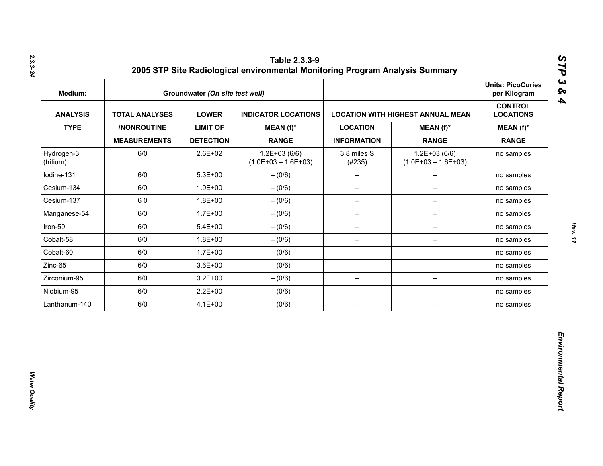| Medium:                 |                       | Groundwater (On site test well) |                                           |                          |                                          | <b>Units: PicoCuries</b><br>per Kilogram |
|-------------------------|-----------------------|---------------------------------|-------------------------------------------|--------------------------|------------------------------------------|------------------------------------------|
| <b>ANALYSIS</b>         | <b>TOTAL ANALYSES</b> | <b>LOWER</b>                    | <b>INDICATOR LOCATIONS</b>                |                          | <b>LOCATION WITH HIGHEST ANNUAL MEAN</b> | <b>CONTROL</b><br><b>LOCATIONS</b>       |
| <b>TYPE</b>             | /NONROUTINE           | <b>LIMIT OF</b>                 | $MEAN(f)^*$                               | <b>LOCATION</b>          | $MEAN(f)^*$                              | $MEAN(f)^*$                              |
|                         | <b>MEASUREMENTS</b>   | <b>DETECTION</b>                | <b>RANGE</b>                              | <b>INFORMATION</b>       | <b>RANGE</b>                             | <b>RANGE</b>                             |
| Hydrogen-3<br>(tritium) | 6/0                   | 2.6E+02                         | $1.2E + 03(6/6)$<br>$(1.0E+03 - 1.6E+03)$ | 3.8 miles S<br>(#235)    | $1.2E+03(6/6)$<br>$(1.0E+03 - 1.6E+03)$  | no samples                               |
| lodine-131              | 6/0                   | $5.3E + 00$                     | $- (0/6)$                                 | $\qquad \qquad -$        | $\overline{\phantom{0}}$                 | no samples                               |
| Cesium-134              | 6/0                   | $1.9E + 00$                     | $- (0/6)$                                 | $\qquad \qquad -$        | $\overline{\phantom{0}}$                 | no samples                               |
| Cesium-137              | 60                    | $1.8E + 00$                     | $-(0/6)$                                  | $\overline{\phantom{a}}$ | $\qquad \qquad -$                        | no samples                               |
| Manganese-54            | 6/0                   | $1.7E + 00$                     | $- (0/6)$                                 | $\overline{\phantom{m}}$ | -                                        | no samples                               |
| Iron-59                 | 6/0                   | $5.4E + 00$                     | $- (0/6)$                                 | $\qquad \qquad -$        | -                                        | no samples                               |
| Cobalt-58               | 6/0                   | $1.8E + 00$                     | $- (0/6)$                                 | $\overline{\phantom{m}}$ | $\qquad \qquad -$                        | no samples                               |
| Cobalt-60               | 6/0                   | $1.7E + 00$                     | $- (0/6)$                                 | $\overline{\phantom{m}}$ | $\qquad \qquad -$                        | no samples                               |
| Zinc-65                 | 6/0                   | $3.6E + 00$                     | $-(0/6)$                                  | $\overline{\phantom{m}}$ | $\qquad \qquad -$                        | no samples                               |
| Zirconium-95            | 6/0                   | $3.2E + 00$                     | $-(0/6)$                                  | $\qquad \qquad -$        | -                                        | no samples                               |
| Niobium-95              | 6/0                   | $2.2E + 00$                     | $-(0/6)$                                  | $\qquad \qquad -$        | $\overline{\phantom{a}}$                 | no samples                               |
| Lanthanum-140           | 6/0                   | $4.1E + 00$                     | $-(0/6)$                                  | $\qquad \qquad -$        | $\qquad \qquad -$                        | no samples                               |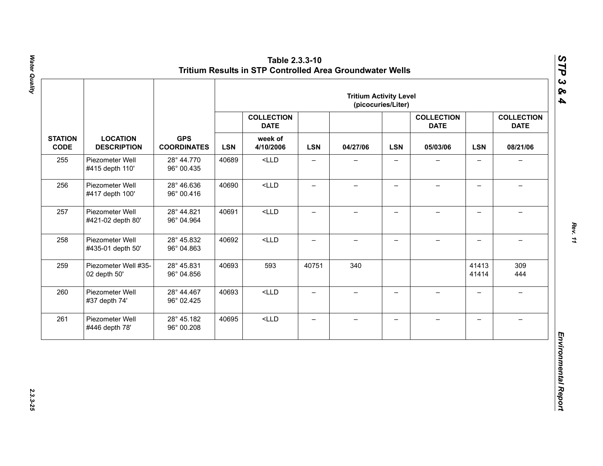|                               |                                       |                                  |       |                                  |                          | <b>Tritium Activity Level</b> | (picocuries/Liter)       |                                  |                          |                                  |            |          |            |          |
|-------------------------------|---------------------------------------|----------------------------------|-------|----------------------------------|--------------------------|-------------------------------|--------------------------|----------------------------------|--------------------------|----------------------------------|------------|----------|------------|----------|
|                               |                                       |                                  |       | <b>COLLECTION</b><br><b>DATE</b> |                          |                               |                          | <b>COLLECTION</b><br><b>DATE</b> |                          | <b>COLLECTION</b><br><b>DATE</b> |            |          |            |          |
| <b>STATION</b><br><b>CODE</b> | <b>LOCATION</b><br><b>DESCRIPTION</b> | <b>GPS</b><br><b>COORDINATES</b> |       |                                  |                          |                               | <b>LSN</b>               | week of<br>4/10/2006             | <b>LSN</b>               | 04/27/06                         | <b>LSN</b> | 05/03/06 | <b>LSN</b> | 08/21/06 |
| 255                           | Piezometer Well<br>#415 depth 110'    | 28° 44.770<br>96° 00.435         | 40689 | $<$ LLD                          | $\overline{\phantom{0}}$ |                               |                          |                                  | $\overline{\phantom{0}}$ |                                  |            |          |            |          |
| 256                           | Piezometer Well<br>#417 depth 100'    | 28° 46.636<br>96° 00.416         | 40690 | $<$ LLD                          | $\qquad \qquad -$        | $\overline{\phantom{0}}$      | $\qquad \qquad -$        |                                  | $\overline{\phantom{0}}$ |                                  |            |          |            |          |
| 257                           | Piezometer Well<br>#421-02 depth 80'  | 28° 44.821<br>96° 04.964         | 40691 | $<$ LLD                          | $\overline{\phantom{0}}$ | $\overline{\phantom{0}}$      | $\overline{\phantom{0}}$ | $\overline{\phantom{0}}$         | $\overline{\phantom{0}}$ | $\equiv$                         |            |          |            |          |
| 258                           | Piezometer Well<br>#435-01 depth 50'  | 28° 45.832<br>96° 04.863         | 40692 | $<$ LLD                          | $\overline{\phantom{0}}$ | $\overline{\phantom{0}}$      | $\overline{\phantom{0}}$ | $\!-$                            | $\overline{a}$           | $\overline{\phantom{m}}$         |            |          |            |          |
| 259                           | Piezometer Well #35-<br>02 depth 50'  | 28° 45.831<br>96° 04.856         | 40693 | 593                              | 40751                    | 340                           |                          |                                  | 41413<br>41414           | 309<br>444                       |            |          |            |          |
| 260                           | Piezometer Well<br>#37 depth 74'      | 28° 44.467<br>96° 02.425         | 40693 | $<$ LLD                          | $\overline{\phantom{0}}$ | $\overline{\phantom{0}}$      | $\overline{\phantom{0}}$ | $\equiv$                         | $\overline{\phantom{0}}$ | $\rightarrow$                    |            |          |            |          |
| 261                           | Piezometer Well<br>#446 depth 78'     | 28° 45.182<br>96° 00.208         | 40695 | $<$ LLD                          | $\qquad \qquad -$        | $\overline{\phantom{0}}$      | $\overline{\phantom{m}}$ | $\qquad \qquad -$                | $\overline{\phantom{0}}$ | $\overline{\phantom{0}}$         |            |          |            |          |

Water Quality *Water Quality 2.3.3-25*

*Rev. 11*

*STP 3 & 4*

2.3.3-25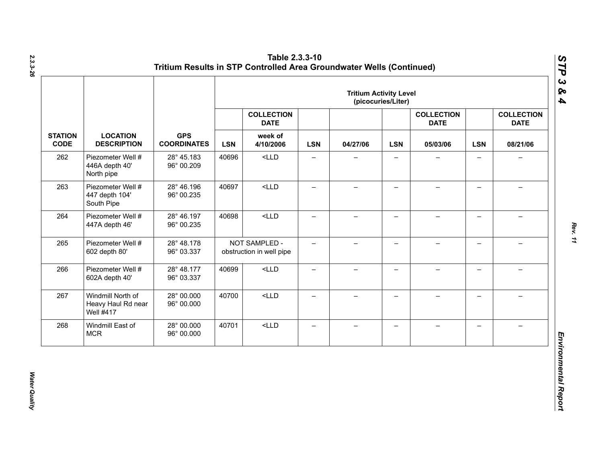|                               |                                                             |                                  | <b>Tritium Activity Level</b><br>(picocuries/Liter) |                                           |                          |                          |                          |                                  |                          |                                  |            |          |
|-------------------------------|-------------------------------------------------------------|----------------------------------|-----------------------------------------------------|-------------------------------------------|--------------------------|--------------------------|--------------------------|----------------------------------|--------------------------|----------------------------------|------------|----------|
|                               |                                                             |                                  |                                                     | <b>COLLECTION</b><br><b>DATE</b>          |                          |                          |                          | <b>COLLECTION</b><br><b>DATE</b> |                          | <b>COLLECTION</b><br><b>DATE</b> |            |          |
| <b>STATION</b><br><b>CODE</b> | <b>LOCATION</b><br><b>DESCRIPTION</b>                       | <b>GPS</b><br><b>COORDINATES</b> |                                                     |                                           | <b>LSN</b>               | week of<br>4/10/2006     | <b>LSN</b>               | 04/27/06                         | <b>LSN</b>               | 05/03/06                         | <b>LSN</b> | 08/21/06 |
| 262                           | Piezometer Well #<br>446A depth 40'<br>North pipe           | 28° 45.183<br>96° 00.209         | 40696                                               | $<$ LLD                                   | $\qquad \qquad -$        | $\qquad \qquad -$        | $\overline{\phantom{0}}$ |                                  | $\qquad \qquad -$        | $\overline{\phantom{0}}$         |            |          |
| 263                           | Piezometer Well #<br>447 depth 104'<br>South Pipe           | 28° 46.196<br>96° 00.235         | 40697                                               | $<$ LLD                                   | $\overline{\phantom{0}}$ | $\overline{\phantom{0}}$ | $\overline{\phantom{0}}$ |                                  | $\qquad \qquad -$        |                                  |            |          |
| 264                           | Piezometer Well #<br>447A depth 46'                         | 28° 46.197<br>96° 00.235         | 40698                                               | $<$ LLD                                   | —                        | $\overline{\phantom{0}}$ | $\overline{\phantom{0}}$ |                                  | $\overline{\phantom{0}}$ |                                  |            |          |
| 265                           | Piezometer Well #<br>602 depth 80'                          | 28° 48.178<br>96° 03.337         |                                                     | NOT SAMPLED -<br>obstruction in well pipe | $\overline{\phantom{0}}$ | $-$                      | $\overline{\phantom{0}}$ |                                  | $\overline{\phantom{0}}$ |                                  |            |          |
| 266                           | Piezometer Well #<br>602A depth 40'                         | 28° 48.177<br>96° 03.337         | 40699                                               | $<$ LLD                                   | $\qquad \qquad -$        | $\overline{\phantom{0}}$ | $\qquad \qquad -$        |                                  | $\overline{\phantom{0}}$ |                                  |            |          |
| 267                           | Windmill North of<br>Heavy Haul Rd near<br><b>Well #417</b> | 28° 00.000<br>96° 00.000         | 40700                                               | $<$ LLD                                   | $\equiv$                 | $-$                      | $\overline{\phantom{0}}$ | $\!-$                            | $\overline{\phantom{0}}$ | $\overline{\phantom{0}}$         |            |          |
| 268                           | Windmill East of<br><b>MCR</b>                              | 28° 00.000<br>96° 00.000         | 40701                                               | $<$ LLD                                   | $\qquad \qquad -$        | $\overline{\phantom{0}}$ | —                        |                                  | $\qquad \qquad -$        |                                  |            |          |

*Water Quality* 

Water Quality